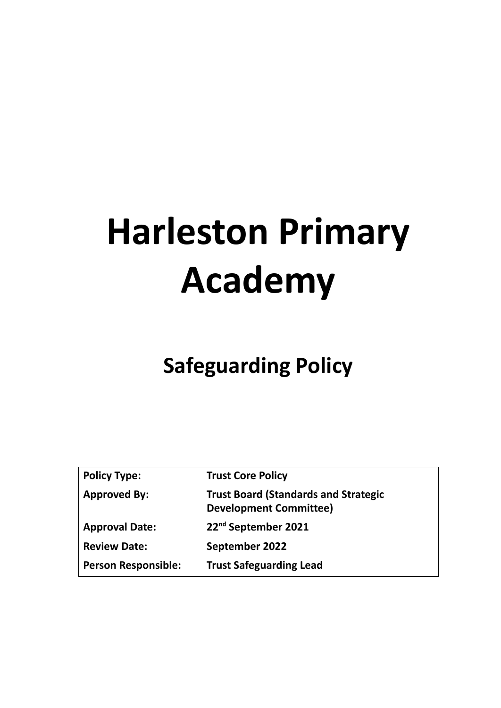# **Harleston Primary Academy**

## **Safeguarding Policy**

| <b>Policy Type:</b>        | <b>Trust Core Policy</b>                                                     |
|----------------------------|------------------------------------------------------------------------------|
| <b>Approved By:</b>        | <b>Trust Board (Standards and Strategic</b><br><b>Development Committee)</b> |
| <b>Approval Date:</b>      | 22 <sup>nd</sup> September 2021                                              |
| <b>Review Date:</b>        | September 2022                                                               |
| <b>Person Responsible:</b> | <b>Trust Safeguarding Lead</b>                                               |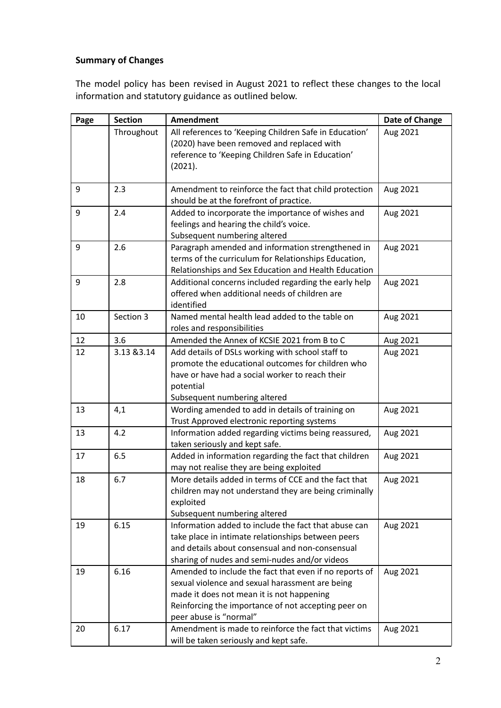#### **Summary of Changes**

The model policy has been revised in August 2021 to reflect these changes to the local information and statutory guidance as outlined below.

| Page | <b>Section</b> | <b>Amendment</b>                                                                                             | Date of Change |
|------|----------------|--------------------------------------------------------------------------------------------------------------|----------------|
|      | Throughout     | All references to 'Keeping Children Safe in Education'                                                       | Aug 2021       |
|      |                | (2020) have been removed and replaced with                                                                   |                |
|      |                | reference to 'Keeping Children Safe in Education'                                                            |                |
|      |                | (2021).                                                                                                      |                |
|      |                |                                                                                                              |                |
| 9    | 2.3            | Amendment to reinforce the fact that child protection                                                        | Aug 2021       |
|      |                | should be at the forefront of practice.                                                                      |                |
| 9    | 2.4            | Added to incorporate the importance of wishes and                                                            | Aug 2021       |
|      |                | feelings and hearing the child's voice.                                                                      |                |
| 9    | 2.6            | Subsequent numbering altered                                                                                 |                |
|      |                | Paragraph amended and information strengthened in                                                            | Aug 2021       |
|      |                | terms of the curriculum for Relationships Education,<br>Relationships and Sex Education and Health Education |                |
| 9    | 2.8            | Additional concerns included regarding the early help                                                        | Aug 2021       |
|      |                | offered when additional needs of children are                                                                |                |
|      |                | identified                                                                                                   |                |
| 10   | Section 3      | Named mental health lead added to the table on                                                               | Aug 2021       |
|      |                | roles and responsibilities                                                                                   |                |
| 12   | 3.6            | Amended the Annex of KCSIE 2021 from B to C                                                                  | Aug 2021       |
| 12   | 3.13 & 3.14    | Add details of DSLs working with school staff to                                                             | Aug 2021       |
|      |                | promote the educational outcomes for children who                                                            |                |
|      |                | have or have had a social worker to reach their                                                              |                |
|      |                | potential                                                                                                    |                |
|      |                | Subsequent numbering altered                                                                                 |                |
| 13   | 4,1            | Wording amended to add in details of training on                                                             | Aug 2021       |
|      |                | Trust Approved electronic reporting systems                                                                  |                |
| 13   | 4.2            | Information added regarding victims being reassured,                                                         | Aug 2021       |
|      |                | taken seriously and kept safe.                                                                               |                |
| 17   | 6.5            | Added in information regarding the fact that children                                                        | Aug 2021       |
|      |                | may not realise they are being exploited                                                                     |                |
| 18   | 6.7            | More details added in terms of CCE and the fact that                                                         | Aug 2021       |
|      |                | children may not understand they are being criminally<br>exploited                                           |                |
|      |                | Subsequent numbering altered                                                                                 |                |
| 19   | 6.15           | Information added to include the fact that abuse can                                                         | Aug 2021       |
|      |                | take place in intimate relationships between peers                                                           |                |
|      |                | and details about consensual and non-consensual                                                              |                |
|      |                | sharing of nudes and semi-nudes and/or videos                                                                |                |
| 19   | 6.16           | Amended to include the fact that even if no reports of                                                       | Aug 2021       |
|      |                | sexual violence and sexual harassment are being                                                              |                |
|      |                | made it does not mean it is not happening                                                                    |                |
|      |                | Reinforcing the importance of not accepting peer on                                                          |                |
|      |                | peer abuse is "normal"                                                                                       |                |
| 20   | 6.17           | Amendment is made to reinforce the fact that victims                                                         | Aug 2021       |
|      |                | will be taken seriously and kept safe.                                                                       |                |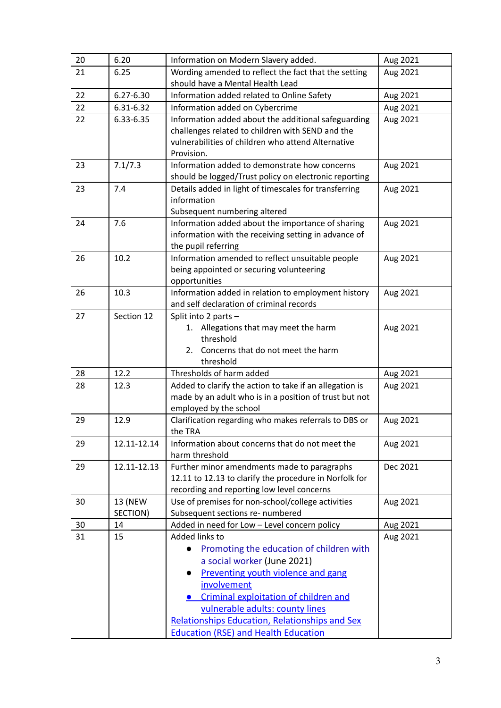| 20 | 6.20                       | Information on Modern Slavery added.                                                  | Aug 2021             |
|----|----------------------------|---------------------------------------------------------------------------------------|----------------------|
| 21 | 6.25                       | Wording amended to reflect the fact that the setting<br>Aug 2021                      |                      |
|    |                            | should have a Mental Health Lead                                                      |                      |
| 22 | $6.27 - 6.30$              | Information added related to Online Safety                                            | Aug 2021             |
| 22 | 6.31-6.32                  | Information added on Cybercrime                                                       | Aug 2021             |
| 22 | 6.33-6.35                  | Information added about the additional safeguarding                                   | Aug 2021             |
|    |                            | challenges related to children with SEND and the                                      |                      |
|    |                            | vulnerabilities of children who attend Alternative                                    |                      |
|    |                            | Provision.                                                                            |                      |
| 23 | 7.1/7.3                    | Information added to demonstrate how concerns                                         | Aug 2021             |
|    |                            | should be logged/Trust policy on electronic reporting                                 |                      |
| 23 | 7.4                        | Details added in light of timescales for transferring                                 | Aug 2021             |
|    |                            | information                                                                           |                      |
|    |                            | Subsequent numbering altered                                                          |                      |
| 24 | 7.6                        | Information added about the importance of sharing                                     | Aug 2021             |
|    |                            | information with the receiving setting in advance of                                  |                      |
|    |                            | the pupil referring                                                                   |                      |
| 26 | 10.2                       | Information amended to reflect unsuitable people                                      | Aug 2021             |
|    |                            | being appointed or securing volunteering                                              |                      |
|    |                            | opportunities                                                                         |                      |
| 26 | 10.3                       | Information added in relation to employment history                                   | Aug 2021             |
|    |                            | and self declaration of criminal records                                              |                      |
| 27 | Section 12                 | Split into 2 parts -                                                                  |                      |
|    |                            | 1. Allegations that may meet the harm                                                 | Aug 2021             |
|    |                            | threshold                                                                             |                      |
|    |                            | Concerns that do not meet the harm<br>2.                                              |                      |
|    |                            | threshold                                                                             |                      |
| 28 | 12.2                       | Thresholds of harm added                                                              | Aug 2021             |
| 28 | 12.3                       | Added to clarify the action to take if an allegation is                               | Aug 2021             |
|    |                            | made by an adult who is in a position of trust but not                                |                      |
|    |                            | employed by the school                                                                |                      |
| 29 | 12.9                       | Clarification regarding who makes referrals to DBS or                                 | Aug 2021             |
|    |                            | the TRA                                                                               |                      |
| 29 | 12.11-12.14                | Information about concerns that do not meet the                                       | Aug 2021             |
|    |                            | harm threshold                                                                        |                      |
| 29 | 12.11-12.13                | Further minor amendments made to paragraphs                                           | Dec 2021             |
|    |                            | 12.11 to 12.13 to clarify the procedure in Norfolk for                                |                      |
|    |                            | recording and reporting low level concerns                                            |                      |
| 30 | <b>13 (NEW</b><br>SECTION) | Use of premises for non-school/college activities<br>Subsequent sections re- numbered | Aug 2021             |
| 30 |                            |                                                                                       |                      |
| 31 | 14<br>15                   | Added in need for Low - Level concern policy<br>Added links to                        | Aug 2021<br>Aug 2021 |
|    |                            |                                                                                       |                      |
|    |                            | Promoting the education of children with<br>$\bullet$                                 |                      |
|    |                            | a social worker (June 2021)                                                           |                      |
|    |                            | Preventing youth violence and gang                                                    |                      |
|    |                            | involvement                                                                           |                      |
|    |                            | Criminal exploitation of children and                                                 |                      |
|    |                            | vulnerable adults: county lines                                                       |                      |
|    |                            | Relationships Education, Relationships and Sex                                        |                      |
|    |                            | <b>Education (RSE) and Health Education</b>                                           |                      |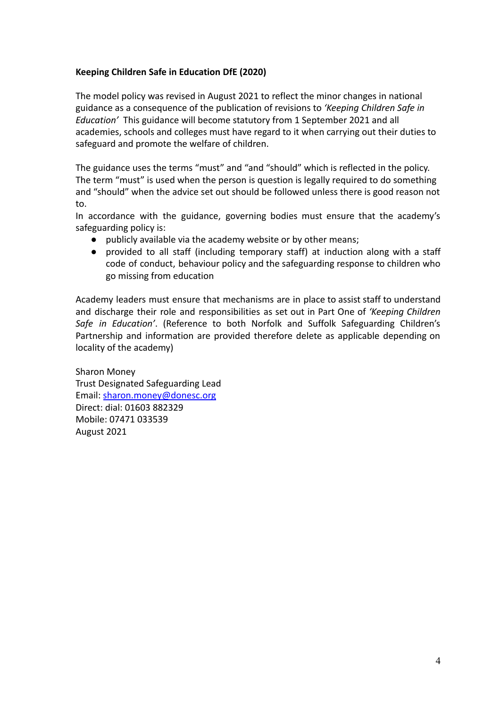#### **Keeping Children Safe in Education DfE (2020)**

The model policy was revised in August 2021 to reflect the minor changes in national guidance as a consequence of the publication of revisions to *'Keeping Children Safe in Education'* This guidance will become statutory from 1 September 2021 and all academies, schools and colleges must have regard to it when carrying out their duties to safeguard and promote the welfare of children.

The guidance uses the terms "must" and "and "should" which is reflected in the policy. The term "must" is used when the person is question is legally required to do something and "should" when the advice set out should be followed unless there is good reason not to.

In accordance with the guidance, governing bodies must ensure that the academy's safeguarding policy is:

- publicly available via the academy website or by other means;
- provided to all staff (including temporary staff) at induction along with a staff code of conduct, behaviour policy and the safeguarding response to children who go missing from education

Academy leaders must ensure that mechanisms are in place to assist staff to understand and discharge their role and responsibilities as set out in Part One of *'Keeping Children Safe in Education'*. (Reference to both Norfolk and Suffolk Safeguarding Children's Partnership and information are provided therefore delete as applicable depending on locality of the academy)

Sharon Money Trust Designated Safeguarding Lead Email: [sharon.money@donesc.org](mailto:sharon.money@dneat.org) Direct: dial: 01603 882329 Mobile: 07471 033539 August 2021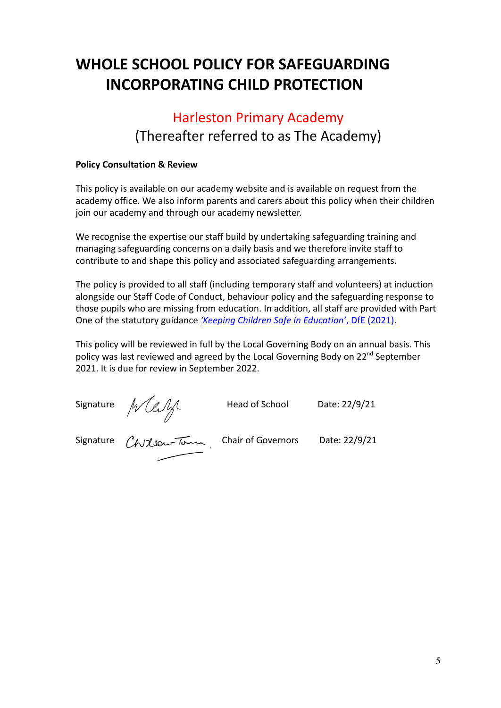## **WHOLE SCHOOL POLICY FOR SAFEGUARDING INCORPORATING CHILD PROTECTION**

## Harleston Primary Academy (Thereafter referred to as The Academy)

#### **Policy Consultation & Review**

This policy is available on our academy website and is available on request from the academy office. We also inform parents and carers about this policy when their children join our academy and through our academy newsletter.

We recognise the expertise our staff build by undertaking safeguarding training and managing safeguarding concerns on a daily basis and we therefore invite staff to contribute to and shape this policy and associated safeguarding arrangements.

The policy is provided to all staff (including temporary staff and volunteers) at induction alongside our Staff Code of Conduct, behaviour policy and the safeguarding response to those pupils who are missing from education. In addition, all staff are provided with Part One of the statutory guidance *['Keeping Children Safe](https://assets.publishing.service.gov.uk/government/uploads/system/uploads/attachment_data/file/1007260/Keeping_children_safe_in_education_2021.pdf) in Education'*, DfE (2021).

This policy will be reviewed in full by the Local Governing Body on an annual basis. This policy was last reviewed and agreed by the Local Governing Body on 22<sup>nd</sup> September 2021. It is due for review in September 2022.

| Signature $M$ $\ell$                       | Head of School | Date: 22/9/21 |
|--------------------------------------------|----------------|---------------|
| Signature Chulson-Toman Chair of Governors |                | Date: 22/9/21 |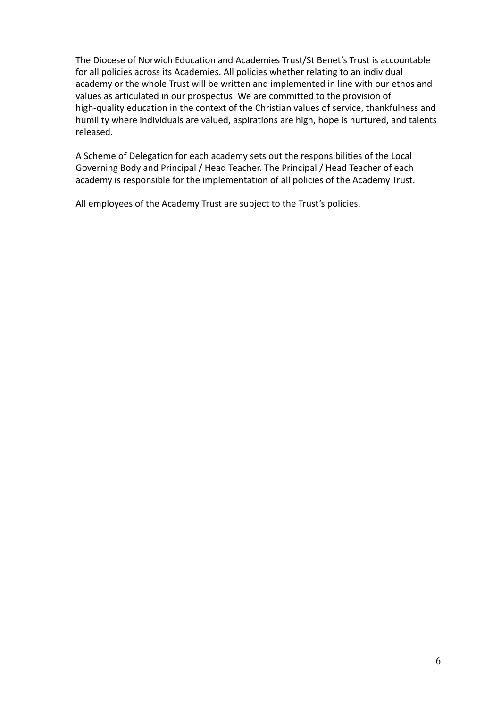The Diocese of Norwich Education and Academies Trust/St Benet's Trust is accountable for all policies across its Academies. All policies whether relating to an individual academy or the whole Trust will be written and implemented in line with our ethos and values as articulated in our prospectus. We are committed to the provision of high-quality education in the context of the Christian values of service, thankfulness and humility where individuals are valued, aspirations are high, hope is nurtured, and talents released.

A Scheme of Delegation for each academy sets out the responsibilities of the Local Governing Body and Principal / Head Teacher. The Principal / Head Teacher of each academy is responsible for the implementation of all policies of the Academy Trust.

All employees of the Academy Trust are subject to the Trust's policies.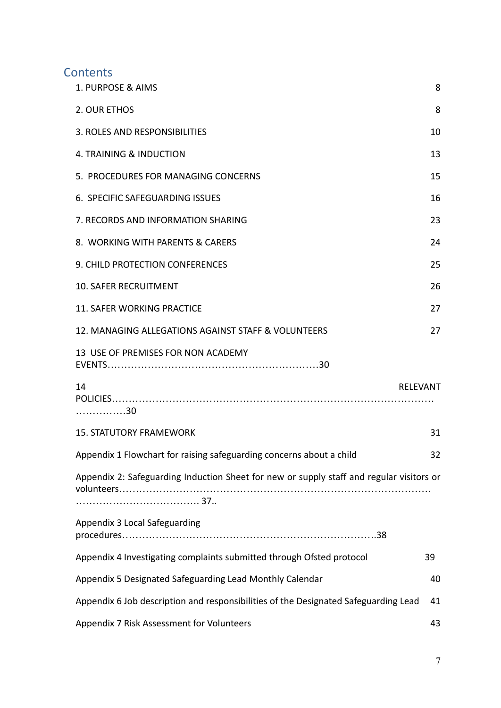### **Contents**

| 1. PURPOSE & AIMS                                                                        | 8  |
|------------------------------------------------------------------------------------------|----|
| 2. OUR ETHOS                                                                             | 8  |
| 3. ROLES AND RESPONSIBILITIES                                                            | 10 |
| 4. TRAINING & INDUCTION                                                                  | 13 |
| 5. PROCEDURES FOR MANAGING CONCERNS                                                      | 15 |
| 6. SPECIFIC SAFEGUARDING ISSUES                                                          | 16 |
| 7. RECORDS AND INFORMATION SHARING                                                       | 23 |
| 8. WORKING WITH PARENTS & CARERS                                                         | 24 |
| 9. CHILD PROTECTION CONFERENCES                                                          | 25 |
| <b>10. SAFER RECRUITMENT</b>                                                             | 26 |
| <b>11. SAFER WORKING PRACTICE</b>                                                        | 27 |
| 12. MANAGING ALLEGATIONS AGAINST STAFF & VOLUNTEERS                                      | 27 |
| 13 USE OF PREMISES FOR NON ACADEMY                                                       |    |
| 14<br>RFLFVANT<br>. 30                                                                   |    |
| <b>15. STATUTORY FRAMEWORK</b>                                                           | 31 |
| Appendix 1 Flowchart for raising safeguarding concerns about a child                     | 32 |
| Appendix 2: Safeguarding Induction Sheet for new or supply staff and regular visitors or |    |
| Appendix 3 Local Safeguarding                                                            |    |
| Appendix 4 Investigating complaints submitted through Ofsted protocol                    | 39 |
| Appendix 5 Designated Safeguarding Lead Monthly Calendar                                 | 40 |
| Appendix 6 Job description and responsibilities of the Designated Safeguarding Lead      | 41 |
| Appendix 7 Risk Assessment for Volunteers                                                | 43 |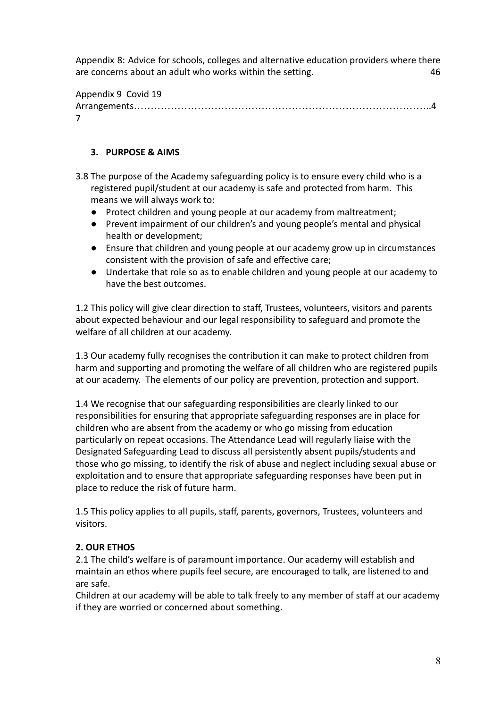Appendix 8: Advice for schools, colleges and [alternative](#page-45-0) education providers where there [are concerns about an adult who works within the setting.](#page-45-0) 46

| Appendix 9 Covid 19 |
|---------------------|
|                     |
|                     |

#### <span id="page-7-0"></span>**3. PURPOSE & AIMS**

- 3.8 The purpose of the Academy safeguarding policy is to ensure every child who is a registered pupil/student at our academy is safe and protected from harm. This means we will always work to:
	- Protect children and young people at our academy from maltreatment;
	- Prevent impairment of our children's and young people's mental and physical health or development;
	- Ensure that children and young people at our academy grow up in circumstances consistent with the provision of safe and effective care;
	- Undertake that role so as to enable children and young people at our academy to have the best outcomes.

1.2 This policy will give clear direction to staff, Trustees, volunteers, visitors and parents about expected behaviour and our legal responsibility to safeguard and promote the welfare of all children at our academy.

1.3 Our academy fully recognises the contribution it can make to protect children from harm and supporting and promoting the welfare of all children who are registered pupils at our academy. The elements of our policy are prevention, protection and support.

1.4 We recognise that our safeguarding responsibilities are clearly linked to our responsibilities for ensuring that appropriate safeguarding responses are in place for children who are absent from the academy or who go missing from education particularly on repeat occasions. The Attendance Lead will regularly liaise with the Designated Safeguarding Lead to discuss all persistently absent pupils/students and those who go missing, to identify the risk of abuse and neglect including sexual abuse or exploitation and to ensure that appropriate safeguarding responses have been put in place to reduce the risk of future harm.

1.5 This policy applies to all pupils, staff, parents, governors, Trustees, volunteers and visitors.

#### <span id="page-7-1"></span>**2. OUR ETHOS**

2.1 The child's welfare is of paramount importance. Our academy will establish and maintain an ethos where pupils feel secure, are encouraged to talk, are listened to and are safe.

Children at our academy will be able to talk freely to any member of staff at our academy if they are worried or concerned about something.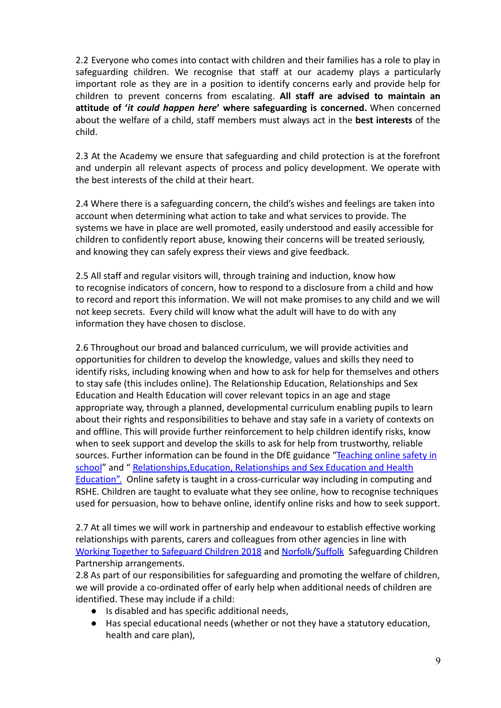2.2 Everyone who comes into contact with children and their families has a role to play in safeguarding children. We recognise that staff at our academy plays a particularly important role as they are in a position to identify concerns early and provide help for children to prevent concerns from escalating. **All staff are advised to maintain an attitude of '***it could happen here***' where safeguarding is concerned.** When concerned about the welfare of a child, staff members must always act in the **best interests** of the child.

2.3 At the Academy we ensure that safeguarding and child protection is at the forefront and underpin all relevant aspects of process and policy development. We operate with the best interests of the child at their heart.

2.4 Where there is a safeguarding concern, the child's wishes and feelings are taken into account when determining what action to take and what services to provide. The systems we have in place are well promoted, easily understood and easily accessible for children to confidently report abuse, knowing their concerns will be treated seriously, and knowing they can safely express their views and give feedback.

2.5 All staff and regular visitors will, through training and induction, know how to recognise indicators of concern, how to respond to a disclosure from a child and how to record and report this information. We will not make promises to any child and we will not keep secrets. Every child will know what the adult will have to do with any information they have chosen to disclose.

2.6 Throughout our broad and balanced curriculum, we will provide activities and opportunities for children to develop the knowledge, values and skills they need to identify risks, including knowing when and how to ask for help for themselves and others to stay safe (this includes online). The Relationship Education, Relationships and Sex Education and Health Education will cover relevant topics in an age and stage appropriate way, through a planned, developmental curriculum enabling pupils to learn about their rights and responsibilities to behave and stay safe in a variety of contexts on and offline. This will provide further reinforcement to help children identify risks, know when to seek support and develop the skills to ask for help from trustworthy, reliable sources. Further information can be found in the DfE guidance "[Teaching online safety in](https://assets.publishing.service.gov.uk/government/uploads/system/uploads/attachment_data/file/811796/Teaching_online_safety_in_school.pdf) [school](https://assets.publishing.service.gov.uk/government/uploads/system/uploads/attachment_data/file/811796/Teaching_online_safety_in_school.pdf)" and " Relationships, Education, Relationships and Sex Education and Health [Education".](https://assets.publishing.service.gov.uk/government/uploads/system/uploads/attachment_data/file/908013/Relationships_Education__Relationships_and_Sex_Education__RSE__and_Health_Education.pdf) Online safety is taught in a cross-curricular way including in computing and RSHE. Children are taught to evaluate what they see online, how to recognise techniques used for persuasion, how to behave online, identify online risks and how to seek support.

2.7 At all times we will work in partnership and endeavour to establish effective working relationships with parents, carers and colleagues from other agencies in line with [Working Together to Safeguard Children 2018](https://www.gov.uk/government/publications/working-together-to-safeguard-children--2) and [Norfolk](https://www.norfolklscb.org/about/policies-procedures/policies-and-procedures/)/[Suffolk](https://suffolksp.org.uk/) Safeguarding Children Partnership arrangements.

2.8 As part of our responsibilities for safeguarding and promoting the welfare of children, we will provide a co-ordinated offer of early help when additional needs of children are identified. These may include if a child:

- Is disabled and has specific additional needs,
- Has special educational needs (whether or not they have a statutory education, health and care plan),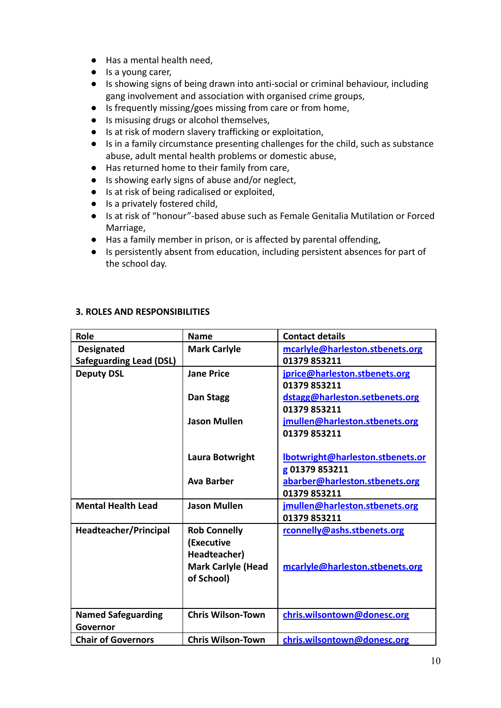- Has a mental health need,
- Is a young carer,
- Is showing signs of being drawn into anti-social or criminal behaviour, including gang involvement and association with organised crime groups,
- Is frequently missing/goes missing from care or from home,
- Is misusing drugs or alcohol themselves,
- Is at risk of modern slavery trafficking or exploitation,
- Is in a family circumstance presenting challenges for the child, such as substance abuse, adult mental health problems or domestic abuse,
- Has returned home to their family from care,
- Is showing early signs of abuse and/or neglect,
- Is at risk of being radicalised or exploited,
- Is a privately fostered child,
- Is at risk of "honour"-based abuse such as Female Genitalia Mutilation or Forced Marriage,
- Has a family member in prison, or is affected by parental offending,
- Is persistently absent from education, including persistent absences for part of the school day.

| <b>Role</b>                    | <b>Name</b>               | <b>Contact details</b>           |
|--------------------------------|---------------------------|----------------------------------|
| <b>Designated</b>              | <b>Mark Carlyle</b>       | mcarlyle@harleston.stbenets.org  |
| <b>Safeguarding Lead (DSL)</b> |                           | 01379 853211                     |
| <b>Deputy DSL</b>              | <b>Jane Price</b>         | jprice@harleston.stbenets.org    |
|                                |                           | 01379 853211                     |
|                                | Dan Stagg                 | dstagg@harleston.setbenets.org   |
|                                |                           | 01379 853211                     |
|                                | <b>Jason Mullen</b>       | jmullen@harleston.stbenets.org   |
|                                |                           | 01379 853211                     |
|                                |                           |                                  |
|                                | Laura Botwright           | lbotwright@harleston.stbenets.or |
|                                |                           | g 01379 853211                   |
|                                | <b>Ava Barber</b>         | abarber@harleston.stbenets.org   |
|                                |                           | 01379 853211                     |
| <b>Mental Health Lead</b>      | <b>Jason Mullen</b>       | jmullen@harleston.stbenets.org   |
|                                |                           | 01379 853211                     |
| Headteacher/Principal          | <b>Rob Connelly</b>       | rconnelly@ashs.stbenets.org      |
|                                | (Executive                |                                  |
|                                | Headteacher)              |                                  |
|                                | <b>Mark Carlyle (Head</b> | mcarlyle@harleston.stbenets.org  |
|                                | of School)                |                                  |
|                                |                           |                                  |
|                                |                           |                                  |
| <b>Named Safeguarding</b>      | <b>Chris Wilson-Town</b>  | chris.wilsontown@donesc.org      |
| Governor                       |                           |                                  |
| <b>Chair of Governors</b>      | <b>Chris Wilson-Town</b>  | chris.wilsontown@donesc.org      |

#### <span id="page-9-0"></span>**3. ROLES AND RESPONSIBILITIES**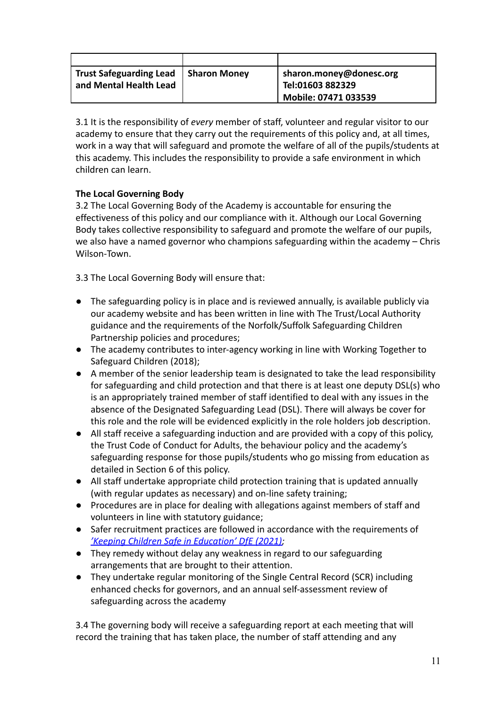| Trust Safeguarding Lead   Sharon Money | sharon.money@donesc.org |
|----------------------------------------|-------------------------|
| and Mental Health Lead                 | Tel:01603 882329        |
|                                        | Mobile: 07471 033539    |

3.1 It is the responsibility of *every* member of staff, volunteer and regular visitor to our academy to ensure that they carry out the requirements of this policy and, at all times, work in a way that will safeguard and promote the welfare of all of the pupils/students at this academy. This includes the responsibility to provide a safe environment in which children can learn.

#### **The Local Governing Body**

3.2 The Local Governing Body of the Academy is accountable for ensuring the effectiveness of this policy and our compliance with it. Although our Local Governing Body takes collective responsibility to safeguard and promote the welfare of our pupils, we also have a named governor who champions safeguarding within the academy – Chris Wilson-Town.

3.3 The Local Governing Body will ensure that:

- The safeguarding policy is in place and is reviewed annually, is available publicly via our academy website and has been written in line with The Trust/Local Authority guidance and the requirements of the Norfolk/Suffolk Safeguarding Children Partnership policies and procedures;
- The academy contributes to inter-agency working in line with Working Together to Safeguard Children (2018);
- A member of the senior leadership team is designated to take the lead responsibility for safeguarding and child protection and that there is at least one deputy DSL(s) who is an appropriately trained member of staff identified to deal with any issues in the absence of the Designated Safeguarding Lead (DSL). There will always be cover for this role and the role will be evidenced explicitly in the role holders job description.
- All staff receive a safeguarding induction and are provided with a copy of this policy, the Trust Code of Conduct for Adults, the behaviour policy and the academy's safeguarding response for those pupils/students who go missing from education as detailed in Section 6 of this policy.
- All staff undertake appropriate child protection training that is updated annually (with regular updates as necessary) and on-line safety training;
- Procedures are in place for dealing with allegations against members of staff and volunteers in line with statutory guidance;
- *●* Safer recruitment practices are followed in accordance with the requirements of *['Keeping Children Safe in Education' DfE \(2021\);](https://assets.publishing.service.gov.uk/government/uploads/system/uploads/attachment_data/file/1007260/Keeping_children_safe_in_education_2021.pdf)*
- They remedy without delay any weakness in regard to our safeguarding arrangements that are brought to their attention.
- They undertake regular monitoring of the Single Central Record (SCR) including enhanced checks for governors, and an annual self-assessment review of safeguarding across the academy

3.4 The governing body will receive a safeguarding report at each meeting that will record the training that has taken place, the number of staff attending and any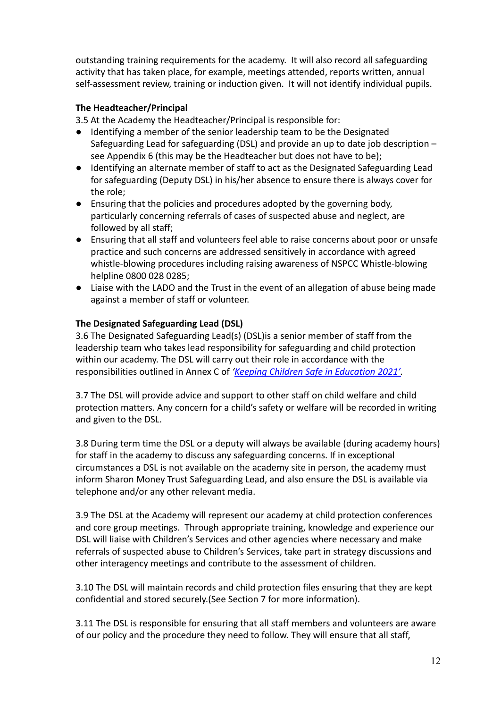outstanding training requirements for the academy. It will also record all safeguarding activity that has taken place, for example, meetings attended, reports written, annual self-assessment review, training or induction given. It will not identify individual pupils.

#### **The Headteacher/Principal**

3.5 At the Academy the Headteacher/Principal is responsible for:

- Identifying a member of the senior leadership team to be the Designated Safeguarding Lead for safeguarding (DSL) and provide an up to date job description – see Appendix 6 (this may be the Headteacher but does not have to be);
- Identifying an alternate member of staff to act as the Designated Safeguarding Lead for safeguarding (Deputy DSL) in his/her absence to ensure there is always cover for the role;
- Ensuring that the policies and procedures adopted by the governing body, particularly concerning referrals of cases of suspected abuse and neglect, are followed by all staff;
- Ensuring that all staff and volunteers feel able to raise concerns about poor or unsafe practice and such concerns are addressed sensitively in accordance with agreed whistle-blowing procedures including raising awareness of NSPCC Whistle-blowing helpline 0800 028 0285;
- Liaise with the LADO and the Trust in the event of an allegation of abuse being made against a member of staff or volunteer.

#### **The Designated Safeguarding Lead (DSL)**

3.6 The Designated Safeguarding Lead(s) (DSL)is a senior member of staff from the leadership team who takes lead responsibility for safeguarding and child protection within our academy. The DSL will carry out their role in accordance with the responsibilities outlined in Annex C of *'Keeping Children [Safe in Education 2021'.](https://assets.publishing.service.gov.uk/government/uploads/system/uploads/attachment_data/file/1007260/Keeping_children_safe_in_education_2021.pdf)*

3.7 The DSL will provide advice and support to other staff on child welfare and child protection matters. Any concern for a child's safety or welfare will be recorded in writing and given to the DSL.

3.8 During term time the DSL or a deputy will always be available (during academy hours) for staff in the academy to discuss any safeguarding concerns. If in exceptional circumstances a DSL is not available on the academy site in person, the academy must inform Sharon Money Trust Safeguarding Lead, and also ensure the DSL is available via telephone and/or any other relevant media.

3.9 The DSL at the Academy will represent our academy at child protection conferences and core group meetings. Through appropriate training, knowledge and experience our DSL will liaise with Children's Services and other agencies where necessary and make referrals of suspected abuse to Children's Services, take part in strategy discussions and other interagency meetings and contribute to the assessment of children.

3.10 The DSL will maintain records and child protection files ensuring that they are kept confidential and stored securely.(See Section 7 for more information).

3.11 The DSL is responsible for ensuring that all staff members and volunteers are aware of our policy and the procedure they need to follow. They will ensure that all staff,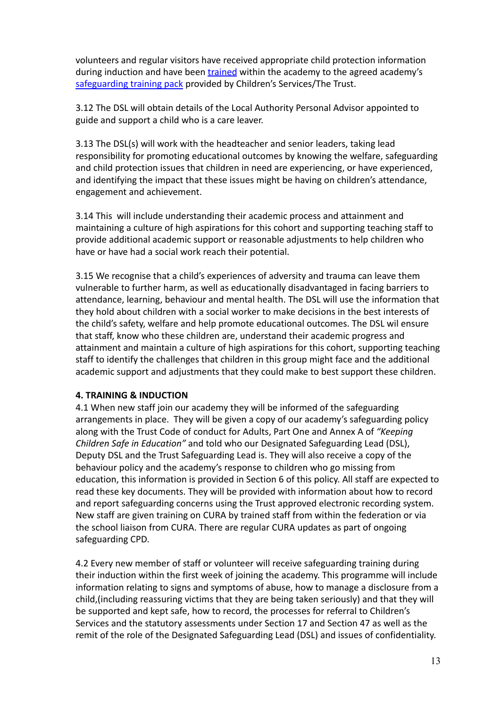volunteers and regular visitors have received appropriate child protection information during induction and have been [trained](http://www.schools.norfolk.gov.uk/Behaviour-and-safety/Safeguarding/Training/index.htm) within the academy to the agreed academy's [safeguarding training pack](http://www.schools.norfolk.gov.uk/behaviour-and-safety/safeguarding/training/ncc096606) provided by Children's Services/The Trust.

3.12 The DSL will obtain details of the Local Authority Personal Advisor appointed to guide and support a child who is a care leaver.

3.13 The DSL(s) will work with the headteacher and senior leaders, taking lead responsibility for promoting educational outcomes by knowing the welfare, safeguarding and child protection issues that children in need are experiencing, or have experienced, and identifying the impact that these issues might be having on children's attendance, engagement and achievement.

3.14 This will include understanding their academic process and attainment and maintaining a culture of high aspirations for this cohort and supporting teaching staff to provide additional academic support or reasonable adjustments to help children who have or have had a social work reach their potential.

3.15 We recognise that a child's experiences of adversity and trauma can leave them vulnerable to further harm, as well as educationally disadvantaged in facing barriers to attendance, learning, behaviour and mental health. The DSL will use the information that they hold about children with a social worker to make decisions in the best interests of the child's safety, welfare and help promote educational outcomes. The DSL wil ensure that staff, know who these children are, understand their academic progress and attainment and maintain a culture of high aspirations for this cohort, supporting teaching staff to identify the challenges that children in this group might face and the additional academic support and adjustments that they could make to best support these children.

#### <span id="page-12-0"></span>**4. TRAINING & INDUCTION**

4.1 When new staff join our academy they will be informed of the safeguarding arrangements in place. They will be given a copy of our academy's safeguarding policy along with the Trust Code of conduct for Adults, Part One and Annex A of *"Keeping Children Safe in Education"* and told who our Designated Safeguarding Lead (DSL), Deputy DSL and the Trust Safeguarding Lead is. They will also receive a copy of the behaviour policy and the academy's response to children who go missing from education, this information is provided in Section 6 of this policy. All staff are expected to read these key documents. They will be provided with information about how to record and report safeguarding concerns using the Trust approved electronic recording system. New staff are given training on CURA by trained staff from within the federation or via the school liaison from CURA. There are regular CURA updates as part of ongoing safeguarding CPD.

4.2 Every new member of staff or volunteer will receive safeguarding training during their induction within the first week of joining the academy. This programme will include information relating to signs and symptoms of abuse, how to manage a disclosure from a child,(including reassuring victims that they are being taken seriously) and that they will be supported and kept safe, how to record, the processes for referral to Children's Services and the statutory assessments under Section 17 and Section 47 as well as the remit of the role of the Designated Safeguarding Lead (DSL) and issues of confidentiality.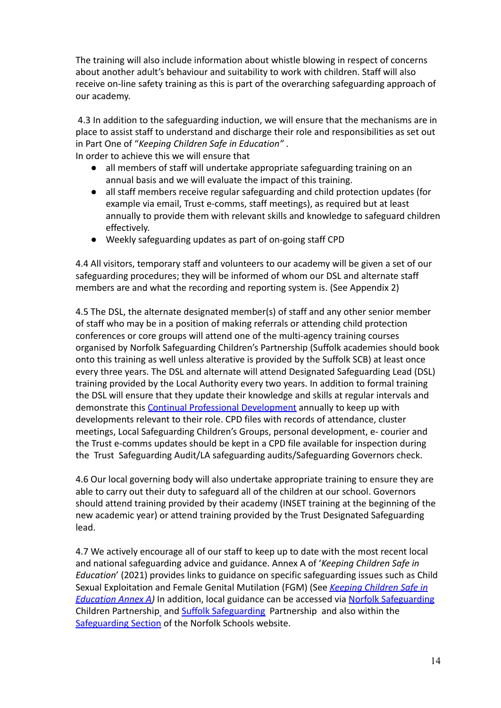The training will also include information about whistle blowing in respect of concerns about another adult's behaviour and suitability to work with children. Staff will also receive on-line safety training as this is part of the overarching safeguarding approach of our academy.

4.3 In addition to the safeguarding induction, we will ensure that the mechanisms are in place to assist staff to understand and discharge their role and responsibilities as set out in Part One of "*Keeping Children Safe in Education"* .

In order to achieve this we will ensure that

- all members of staff will undertake appropriate safeguarding training on an annual basis and we will evaluate the impact of this training.
- all staff members receive regular safeguarding and child protection updates (for example via email, Trust e-comms, staff meetings), as required but at least annually to provide them with relevant skills and knowledge to safeguard children effectively.
- Weekly safeguarding updates as part of on-going staff CPD

4.4 All visitors, temporary staff and volunteers to our academy will be given a set of our safeguarding procedures; they will be informed of whom our DSL and alternate staff members are and what the recording and reporting system is. (See Appendix 2)

4.5 The DSL, the alternate designated member(s) of staff and any other senior member of staff who may be in a position of making referrals or attending child protection conferences or core groups will attend one of the multi-agency training courses organised by Norfolk Safeguarding Children's Partnership (Suffolk academies should book onto this training as well unless alterative is provided by the Suffolk SCB) at least once every three years. The DSL and alternate will attend Designated Safeguarding Lead (DSL) training provided by the Local Authority every two years. In addition to formal training the DSL will ensure that they update their knowledge and skills at regular intervals and demonstrate this [Continual Professional Development](http://www.schools.norfolk.gov.uk/Behaviour-and-safety/Safeguarding/Training/index.htm) annually to keep up with developments relevant to their role. CPD files with records of attendance, cluster meetings, Local Safeguarding Children's Groups, personal development, e- courier and the Trust e-comms updates should be kept in a CPD file available for inspection during the Trust Safeguarding Audit/LA safeguarding audits/Safeguarding Governors check.

4.6 Our local governing body will also undertake appropriate training to ensure they are able to carry out their duty to safeguard all of the children at our school. Governors should attend training provided by their academy (INSET training at the beginning of the new academic year) or attend training provided by the Trust Designated Safeguarding lead.

4.7 We actively encourage all of our staff to keep up to date with the most recent local and national safeguarding advice and guidance. Annex A of '*Keeping Children Safe in Education*' (2021) provides links to guidance on specific safeguarding issues such as Child Sexual Exploitation and Female Genital Mutilation (FGM) (See *[Keeping Children Safe in](https://assets.publishing.service.gov.uk/government/uploads/system/uploads/attachment_data/file/1007260/Keeping_children_safe_in_education_2021.pdf) [Education Annex A\)](https://assets.publishing.service.gov.uk/government/uploads/system/uploads/attachment_data/file/1007260/Keeping_children_safe_in_education_2021.pdf)* In addition, local guidance can be accessed via [Norfolk Safeguarding](https://www.norfolklscb.org/) Children Partnership and [Suffolk Safeguarding](https://suffolksp.org.uk/) Partnership and also within the [Safeguarding Section](https://www.schools.norfolk.gov.uk/pupil-safety-and-behaviour/safeguarding) of the Norfolk Schools website.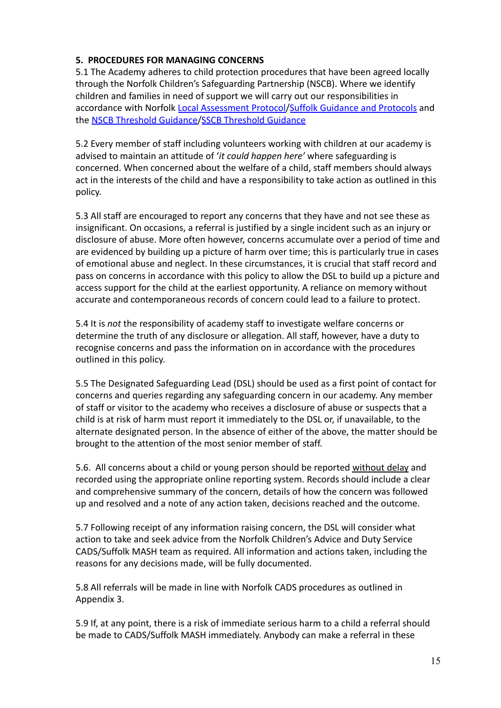#### <span id="page-14-0"></span>**5. PROCEDURES FOR MANAGING CONCERNS**

5.1 The Academy adheres to child protection procedures that have been agreed locally through the Norfolk Children's Safeguarding Partnership (NSCB). Where we identify children and families in need of support we will carry out our responsibilities in accordance with Norfolk [Local Assessment Protocol](https://www.norfolklscb.org/about/policies-procedures/3-3-norfolk-local-assessment-protocol/)/Suffolk [Guidance and Protocols](https://suffolksp.org.uk/) and the [NSCB Threshold Guidance](https://www.norfolklscb.org/people-working-with-children/threshold-guide/)/[SSCB Threshold Guidance](https://suffolksp.org.uk/safeguarding-topics/childrens-topics/threshold-document-and-guidance/)

5.2 Every member of staff including volunteers working with children at our academy is advised to maintain an attitude of '*it could happen here'* where safeguarding is concerned. When concerned about the welfare of a child, staff members should always act in the interests of the child and have a responsibility to take action as outlined in this policy.

5.3 All staff are encouraged to report any concerns that they have and not see these as insignificant. On occasions, a referral is justified by a single incident such as an injury or disclosure of abuse. More often however, concerns accumulate over a period of time and are evidenced by building up a picture of harm over time; this is particularly true in cases of emotional abuse and neglect. In these circumstances, it is crucial that staff record and pass on concerns in accordance with this policy to allow the DSL to build up a picture and access support for the child at the earliest opportunity. A reliance on memory without accurate and contemporaneous records of concern could lead to a failure to protect.

5.4 It is *not* the responsibility of academy staff to investigate welfare concerns or determine the truth of any disclosure or allegation. All staff, however, have a duty to recognise concerns and pass the information on in accordance with the procedures outlined in this policy.

5.5 The Designated Safeguarding Lead (DSL) should be used as a first point of contact for concerns and queries regarding any safeguarding concern in our academy. Any member of staff or visitor to the academy who receives a disclosure of abuse or suspects that a child is at risk of harm must report it immediately to the DSL or, if unavailable, to the alternate designated person. In the absence of either of the above, the matter should be brought to the attention of the most senior member of staff.

5.6. All concerns about a child or young person should be reported without delay and recorded using the appropriate online reporting system. Records should include a clear and comprehensive summary of the concern, details of how the concern was followed up and resolved and a note of any action taken, decisions reached and the outcome.

5.7 Following receipt of any information raising concern, the DSL will consider what action to take and seek advice from the Norfolk Children's Advice and Duty Service CADS/Suffolk MASH team as required. All information and actions taken, including the reasons for any decisions made, will be fully documented.

5.8 All referrals will be made in line with Norfolk CADS procedures as outlined in Appendix 3.

5.9 If, at any point, there is a risk of immediate serious harm to a child a referral should be made to CADS/Suffolk MASH immediately. Anybody can make a referral in these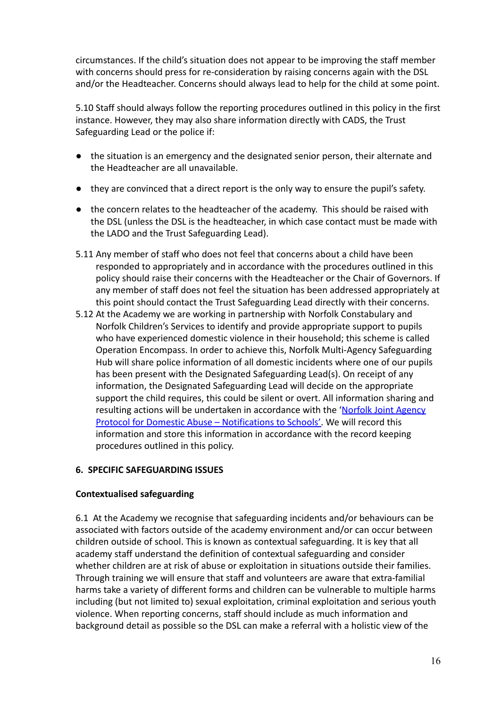circumstances. If the child's situation does not appear to be improving the staff member with concerns should press for re-consideration by raising concerns again with the DSL and/or the Headteacher. Concerns should always lead to help for the child at some point.

5.10 Staff should always follow the reporting procedures outlined in this policy in the first instance. However, they may also share information directly with CADS, the Trust Safeguarding Lead or the police if:

- the situation is an emergency and the designated senior person, their alternate and the Headteacher are all unavailable.
- they are convinced that a direct report is the only way to ensure the pupil's safety.
- the concern relates to the headteacher of the academy. This should be raised with the DSL (unless the DSL is the headteacher, in which case contact must be made with the LADO and the Trust Safeguarding Lead).
- 5.11 Any member of staff who does not feel that concerns about a child have been responded to appropriately and in accordance with the procedures outlined in this policy should raise their concerns with the Headteacher or the Chair of Governors. If any member of staff does not feel the situation has been addressed appropriately at this point should contact the Trust Safeguarding Lead directly with their concerns.
- 5.12 At the Academy we are working in partnership with Norfolk Constabulary and Norfolk Children's Services to identify and provide appropriate support to pupils who have experienced domestic violence in their household; this scheme is called Operation Encompass. In order to achieve this, Norfolk Multi-Agency Safeguarding Hub will share police information of all domestic incidents where one of our pupils has been present with the Designated Safeguarding Lead(s). On receipt of any information, the Designated Safeguarding Lead will decide on the appropriate support the child requires, this could be silent or overt. All information sharing and resulting actions will be undertaken in accordance with the 'Norfolk Joint Agency Protocol for Domestic Abuse – Notifications to Schools'. We will record this information and store this information in accordance with the record keeping procedures outlined in this policy.

#### <span id="page-15-0"></span>**6. SPECIFIC SAFEGUARDING ISSUES**

#### **Contextualised safeguarding**

6.1 At the Academy we recognise that safeguarding incidents and/or behaviours can be associated with factors outside of the academy environment and/or can occur between children outside of school. This is known as contextual safeguarding. It is key that all academy staff understand the definition of contextual safeguarding and consider whether children are at risk of abuse or exploitation in situations outside their families. Through training we will ensure that staff and volunteers are aware that extra-familial harms take a variety of different forms and children can be vulnerable to multiple harms including (but not limited to) sexual exploitation, criminal exploitation and serious youth violence. When reporting concerns, staff should include as much information and background detail as possible so the DSL can make a referral with a holistic view of the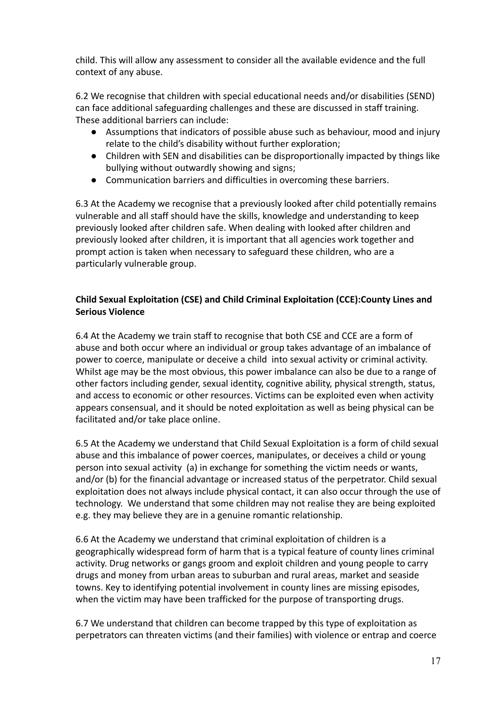child. This will allow any assessment to consider all the available evidence and the full context of any abuse.

6.2 We recognise that children with special educational needs and/or disabilities (SEND) can face additional safeguarding challenges and these are discussed in staff training. These additional barriers can include:

- Assumptions that indicators of possible abuse such as behaviour, mood and injury relate to the child's disability without further exploration;
- Children with SEN and disabilities can be disproportionally impacted by things like bullying without outwardly showing and signs;
- Communication barriers and difficulties in overcoming these barriers.

6.3 At the Academy we recognise that a previously looked after child potentially remains vulnerable and all staff should have the skills, knowledge and understanding to keep previously looked after children safe. When dealing with looked after children and previously looked after children, it is important that all agencies work together and prompt action is taken when necessary to safeguard these children, who are a particularly vulnerable group.

#### **Child Sexual Exploitation (CSE) and Child Criminal Exploitation (CCE):County Lines and Serious Violence**

6.4 At the Academy we train staff to recognise that both CSE and CCE are a form of abuse and both occur where an individual or group takes advantage of an imbalance of power to coerce, manipulate or deceive a child into sexual activity or criminal activity. Whilst age may be the most obvious, this power imbalance can also be due to a range of other factors including gender, sexual identity, cognitive ability, physical strength, status, and access to economic or other resources. Victims can be exploited even when activity appears consensual, and it should be noted exploitation as well as being physical can be facilitated and/or take place online.

6.5 At the Academy we understand that Child Sexual Exploitation is a form of child sexual abuse and this imbalance of power coerces, manipulates, or deceives a child or young person into sexual activity (a) in exchange for something the victim needs or wants, and/or (b) for the financial advantage or increased status of the perpetrator. Child sexual exploitation does not always include physical contact, it can also occur through the use of technology. We understand that some children may not realise they are being exploited e.g. they may believe they are in a genuine romantic relationship.

6.6 At the Academy we understand that criminal exploitation of children is a geographically widespread form of harm that is a typical feature of county lines criminal activity. Drug networks or gangs groom and exploit children and young people to carry drugs and money from urban areas to suburban and rural areas, market and seaside towns. Key to identifying potential involvement in county lines are missing episodes, when the victim may have been trafficked for the purpose of transporting drugs.

6.7 We understand that children can become trapped by this type of exploitation as perpetrators can threaten victims (and their families) with violence or entrap and coerce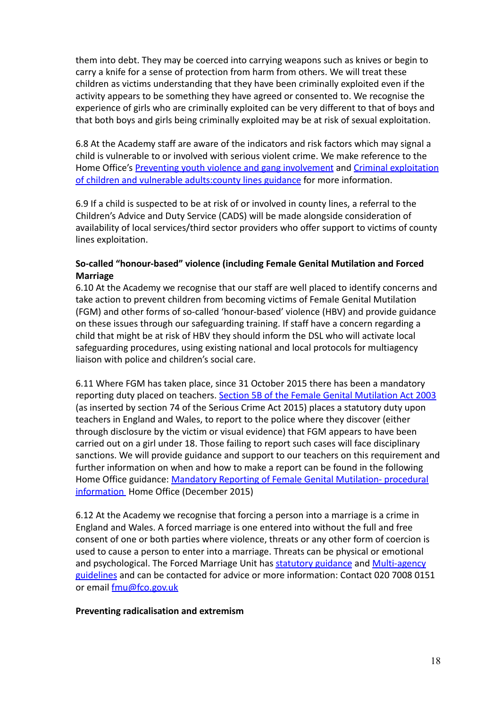them into debt. They may be coerced into carrying weapons such as knives or begin to carry a knife for a sense of protection from harm from others. We will treat these children as victims understanding that they have been criminally exploited even if the activity appears to be something they have agreed or consented to. We recognise the experience of girls who are criminally exploited can be very different to that of boys and that both boys and girls being criminally exploited may be at risk of sexual exploitation.

6.8 At the Academy staff are aware of the indicators and risk factors which may signal a child is vulnerable to or involved with serious violent crime. We make reference to the Home Office's [Preventing youth violence and gang involvement](https://assets.publishing.service.gov.uk/government/uploads/system/uploads/attachment_data/file/418131/Preventing_youth_violence_and_gang_involvement_v3_March2015.pdf) and [Criminal exploitation](https://www.gov.uk/government/publications/criminal-exploitation-of-children-and-vulnerable-adults-county-lines) [of children and vulnerable adults:county lines guidance](https://www.gov.uk/government/publications/criminal-exploitation-of-children-and-vulnerable-adults-county-lines) for more information.

6.9 If a child is suspected to be at risk of or involved in county lines, a referral to the Children's Advice and Duty Service (CADS) will be made alongside consideration of availability of local services/third sector providers who offer support to victims of county lines exploitation.

#### **So-called "honour-based" violence (including Female Genital Mutilation and Forced Marriage**

6.10 At the Academy we recognise that our staff are well placed to identify concerns and take action to prevent children from becoming victims of Female Genital Mutilation (FGM) and other forms of so-called 'honour-based' violence (HBV) and provide guidance on these issues through our safeguarding training. If staff have a concern regarding a child that might be at risk of HBV they should inform the DSL who will activate local safeguarding procedures, using existing national and local protocols for multiagency liaison with police and children's social care.

6.11 Where FGM has taken place, since 31 October 2015 there has been a mandatory reporting duty placed on teachers. Section 5B of the [Female Genital Mutilation Act 2003](https://www.legislation.gov.uk/ukpga/2003/31/section/5B) (as inserted by section 74 of the Serious Crime Act 2015) places a statutory duty upon teachers in England and Wales, to report to the police where they discover (either through disclosure by the victim or visual evidence) that FGM appears to have been carried out on a girl under 18. Those failing to report such cases will face disciplinary sanctions. We will provide guidance and support to our teachers on this requirement and further information on when and how to make a report can be found in the following Home Office guidance: [Mandatory Reporting of Female](https://assets.publishing.service.gov.uk/government/uploads/system/uploads/attachment_data/file/573782/FGM_Mandatory_Reporting_-_procedural_information_nov16_FINAL.pdf) Genital Mutilation- procedural [information](https://assets.publishing.service.gov.uk/government/uploads/system/uploads/attachment_data/file/573782/FGM_Mandatory_Reporting_-_procedural_information_nov16_FINAL.pdf) Home Office (December 2015)

6.12 At the Academy we recognise that forcing a person into a marriage is a crime in England and Wales. A forced marriage is one entered into without the full and free consent of one or both parties where violence, threats or any other form of coercion is used to cause a person to enter into a marriage. Threats can be physical or emotional and psychological. The Forced Marriage Unit has [statutory](https://www.gov.uk/guidance/forced-marriage) guidance and [Multi-agency](https://assets.publishing.service.gov.uk/government/uploads/system/uploads/attachment_data/file/322307/HMG_MULTI_AGENCY_PRACTICE_GUIDELINES_v1_180614_FINAL.pdf) [guidelines](https://assets.publishing.service.gov.uk/government/uploads/system/uploads/attachment_data/file/322307/HMG_MULTI_AGENCY_PRACTICE_GUIDELINES_v1_180614_FINAL.pdf) and can be contacted for advice or more information: Contact 020 7008 0151 or email [fmu@fco.gov.uk](mailto:fmu@fco.gov.uk)

#### **Preventing radicalisation and extremism**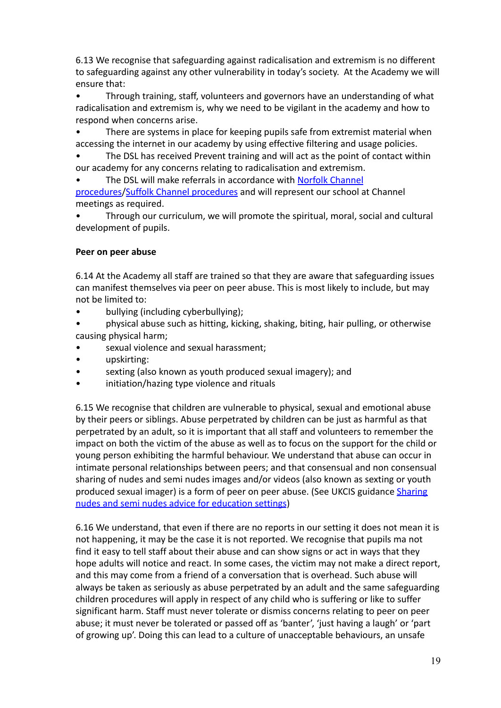6.13 We recognise that safeguarding against radicalisation and extremism is no different to safeguarding against any other vulnerability in today's society. At the Academy we will ensure that:

• Through training, staff, volunteers and governors have an understanding of what radicalisation and extremism is, why we need to be vigilant in the academy and how to respond when concerns arise.

There are systems in place for keeping pupils safe from extremist material when accessing the internet in our academy by using effective filtering and usage policies.

• The DSL has received Prevent training and will act as the point of contact within our academy for any concerns relating to radicalisation and extremism.

• The DSL will make referrals in accordance with Norfolk [Channel](http://www.norfolklscb.org/wp-content/uploads/2016/05/Channel-Norfolk-SOP-April-2016.doc)

[procedures/](http://www.norfolklscb.org/wp-content/uploads/2016/05/Channel-Norfolk-SOP-April-2016.doc)[Suffolk Channel procedures](https://www.suffolk.gov.uk/assets/suffolk.gov.uk/2020-06-04-EPAO-Safeguarding-and-Prevent-Policy-.pdf) and will represent our school at Channel meetings as required.

• Through our curriculum, we will promote the spiritual, moral, social and cultural development of pupils.

#### **Peer on peer abuse**

6.14 At the Academy all staff are trained so that they are aware that safeguarding issues can manifest themselves via peer on peer abuse. This is most likely to include, but may not be limited to:

• bullying (including cyberbullying);

• physical abuse such as hitting, kicking, shaking, biting, hair pulling, or otherwise causing physical harm;

- sexual violence and sexual harassment;
- upskirting:
- sexting (also known as youth produced sexual imagery); and
- initiation/hazing type violence and rituals

6.15 We recognise that children are vulnerable to physical, sexual and emotional abuse by their peers or siblings. Abuse perpetrated by children can be just as harmful as that perpetrated by an adult, so it is important that all staff and volunteers to remember the impact on both the victim of the abuse as well as to focus on the support for the child or young person exhibiting the harmful behaviour. We understand that abuse can occur in intimate personal relationships between peers; and that consensual and non consensual sharing of nudes and semi nudes images and/or videos (also known as sexting or youth produced sexual imager) is a form of peer on peer abuse. (See UKCIS guidance [Sharing](https://www.gov.uk/government/publications/sharing-nudes-and-semi-nudes-advice-for-education-settings-working-with-children-and-young-people) [nudes and semi nudes advice for education settings](https://www.gov.uk/government/publications/sharing-nudes-and-semi-nudes-advice-for-education-settings-working-with-children-and-young-people))

6.16 We understand, that even if there are no reports in our setting it does not mean it is not happening, it may be the case it is not reported. We recognise that pupils ma not find it easy to tell staff about their abuse and can show signs or act in ways that they hope adults will notice and react. In some cases, the victim may not make a direct report, and this may come from a friend of a conversation that is overhead. Such abuse will always be taken as seriously as abuse perpetrated by an adult and the same safeguarding children procedures will apply in respect of any child who is suffering or like to suffer significant harm. Staff must never tolerate or dismiss concerns relating to peer on peer abuse; it must never be tolerated or passed off as 'banter', 'just having a laugh' or 'part of growing up'. Doing this can lead to a culture of unacceptable behaviours, an unsafe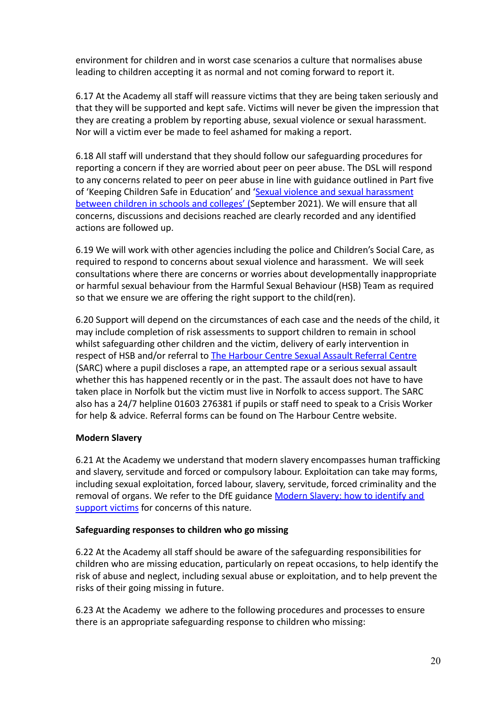environment for children and in worst case scenarios a culture that normalises abuse leading to children accepting it as normal and not coming forward to report it.

6.17 At the Academy all staff will reassure victims that they are being taken seriously and that they will be supported and kept safe. Victims will never be given the impression that they are creating a problem by reporting abuse, sexual violence or sexual harassment. Nor will a victim ever be made to feel ashamed for making a report.

6.18 All staff will understand that they should follow our safeguarding procedures for reporting a concern if they are worried about peer on peer abuse. The DSL will respond to any concerns related to peer on peer abuse in line with guidance outlined in Part five of 'Keeping Children Safe in Education' and 'Sexual [violence and sexual harassment](https://assets.publishing.service.gov.uk/government/uploads/system/uploads/attachment_data/file/999239/SVSH_2021.pdf) [between children in schools and colleges' \(S](https://assets.publishing.service.gov.uk/government/uploads/system/uploads/attachment_data/file/999239/SVSH_2021.pdf)eptember 2021). We will ensure that all concerns, discussions and decisions reached are clearly recorded and any identified actions are followed up.

6.19 We will work with other agencies including the police and Children's Social Care, as required to respond to concerns about sexual violence and harassment. We will seek consultations where there are concerns or worries about developmentally inappropriate or harmful sexual behaviour from the Harmful Sexual Behaviour (HSB) Team as required so that we ensure we are offering the right support to the child(ren).

6.20 Support will depend on the circumstances of each case and the needs of the child, it may include completion of risk assessments to support children to remain in school whilst safeguarding other children and the victim, delivery of early intervention in respect of HSB and/or referral to The Harbour Centre [Sexual Assault Referral Centre](http://www.theharbourcentre.co.uk/) (SARC) where a pupil discloses a rape, an attempted rape or a serious sexual assault whether this has happened recently or in the past. The assault does not have to have taken place in Norfolk but the victim must live in Norfolk to access support. The SARC also has a 24/7 helpline 01603 276381 if pupils or staff need to speak to a Crisis Worker for help & advice. Referral forms can be found on The Harbour Centre website.

#### **Modern Slavery**

6.21 At the Academy we understand that modern slavery encompasses human trafficking and slavery, servitude and forced or compulsory labour. Exploitation can take may forms, including sexual exploitation, forced labour, slavery, servitude, forced criminality and the removal of organs. We refer to the DfE guidance Modern [Slavery: how to identify and](https://www.gov.uk/government/publications/modern-slavery-how-to-identify-and-support-victims) [support victims](https://www.gov.uk/government/publications/modern-slavery-how-to-identify-and-support-victims) for concerns of this nature.

#### **Safeguarding responses to children who go missing**

6.22 At the Academy all staff should be aware of the safeguarding responsibilities for children who are missing education, particularly on repeat occasions, to help identify the risk of abuse and neglect, including sexual abuse or exploitation, and to help prevent the risks of their going missing in future.

6.23 At the Academy we adhere to the following procedures and processes to ensure there is an appropriate safeguarding response to children who missing: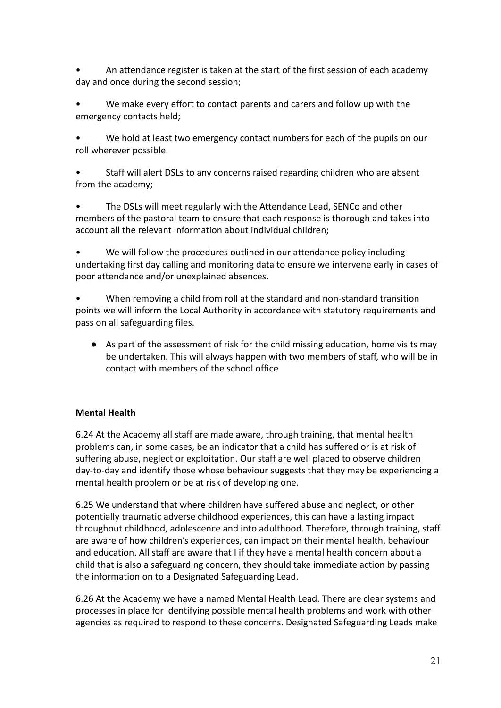• An attendance register is taken at the start of the first session of each academy day and once during the second session;

We make every effort to contact parents and carers and follow up with the emergency contacts held;

• We hold at least two emergency contact numbers for each of the pupils on our roll wherever possible.

• Staff will alert DSLs to any concerns raised regarding children who are absent from the academy;

• The DSLs will meet regularly with the Attendance Lead, SENCo and other members of the pastoral team to ensure that each response is thorough and takes into account all the relevant information about individual children;

We will follow the procedures outlined in our attendance policy including undertaking first day calling and monitoring data to ensure we intervene early in cases of poor attendance and/or unexplained absences.

• When removing a child from roll at the standard and non-standard transition points we will inform the Local Authority in accordance with statutory requirements and pass on all safeguarding files.

● As part of the assessment of risk for the child missing education, home visits may be undertaken. This will always happen with two members of staff, who will be in contact with members of the school office

#### **Mental Health**

6.24 At the Academy all staff are made aware, through training, that mental health problems can, in some cases, be an indicator that a child has suffered or is at risk of suffering abuse, neglect or exploitation. Our staff are well placed to observe children day-to-day and identify those whose behaviour suggests that they may be experiencing a mental health problem or be at risk of developing one.

6.25 We understand that where children have suffered abuse and neglect, or other potentially traumatic adverse childhood experiences, this can have a lasting impact throughout childhood, adolescence and into adulthood. Therefore, through training, staff are aware of how children's experiences, can impact on their mental health, behaviour and education. All staff are aware that I if they have a mental health concern about a child that is also a safeguarding concern, they should take immediate action by passing the information on to a Designated Safeguarding Lead.

6.26 At the Academy we have a named Mental Health Lead. There are clear systems and processes in place for identifying possible mental health problems and work with other agencies as required to respond to these concerns. Designated Safeguarding Leads make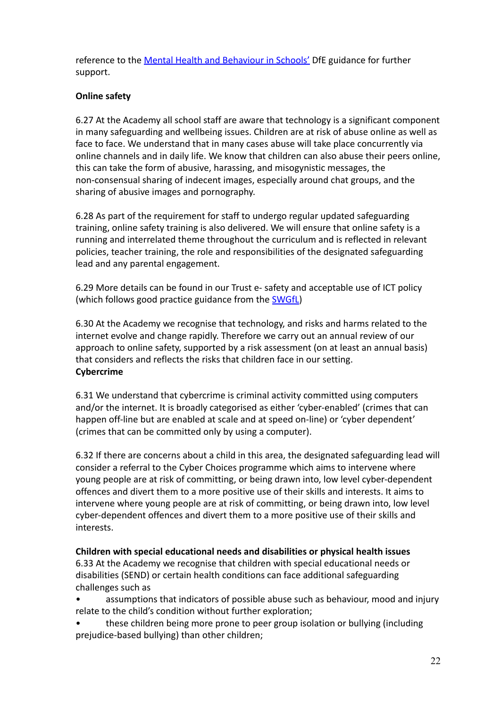reference to the [Mental Health and Behaviour in Schools'](https://www.gov.uk/government/publications/mental-health-and-behaviour-in-schools--2) DfE guidance for further support.

#### **Online safety**

6.27 At the Academy all school staff are aware that technology is a significant component in many safeguarding and wellbeing issues. Children are at risk of abuse online as well as face to face. We understand that in many cases abuse will take place concurrently via online channels and in daily life. We know that children can also abuse their peers online, this can take the form of abusive, harassing, and misogynistic messages, the non-consensual sharing of indecent images, especially around chat groups, and the sharing of abusive images and pornography.

6.28 As part of the requirement for staff to undergo regular updated safeguarding training, online safety training is also delivered. We will ensure that online safety is a running and interrelated theme throughout the curriculum and is reflected in relevant policies, teacher training, the role and responsibilities of the designated safeguarding lead and any parental engagement.

6.29 More details can be found in our Trust e- safety and acceptable use of ICT policy (which follows good practice guidance from the **SWGfL**)

6.30 At the Academy we recognise that technology, and risks and harms related to the internet evolve and change rapidly. Therefore we carry out an annual review of our approach to online safety, supported by a risk assessment (on at least an annual basis) that considers and reflects the risks that children face in our setting. **Cybercrime**

6.31 We understand that cybercrime is criminal activity committed using computers and/or the internet. It is broadly categorised as either 'cyber-enabled' (crimes that can happen off-line but are enabled at scale and at speed on-line) or 'cyber dependent' (crimes that can be committed only by using a computer).

6.32 If there are concerns about a child in this area, the designated safeguarding lead will consider a referral to the Cyber Choices programme which aims to intervene where young people are at risk of committing, or being drawn into, low level cyber-dependent offences and divert them to a more positive use of their skills and interests. It aims to intervene where young people are at risk of committing, or being drawn into, low level cyber-dependent offences and divert them to a more positive use of their skills and interests.

#### **Children with special educational needs and disabilities or physical health issues**

6.33 At the Academy we recognise that children with special educational needs or disabilities (SEND) or certain health conditions can face additional safeguarding challenges such as

- assumptions that indicators of possible abuse such as behaviour, mood and injury relate to the child's condition without further exploration;
- these children being more prone to peer group isolation or bullying (including prejudice-based bullying) than other children;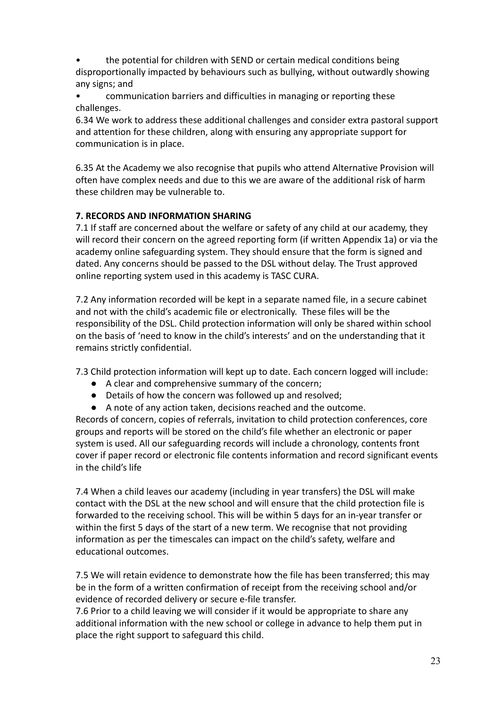the potential for children with SEND or certain medical conditions being disproportionally impacted by behaviours such as bullying, without outwardly showing any signs; and

• communication barriers and difficulties in managing or reporting these challenges.

6.34 We work to address these additional challenges and consider extra pastoral support and attention for these children, along with ensuring any appropriate support for communication is in place.

6.35 At the Academy we also recognise that pupils who attend Alternative Provision will often have complex needs and due to this we are aware of the additional risk of harm these children may be vulnerable to.

#### <span id="page-22-0"></span>**7. RECORDS AND INFORMATION SHARING**

7.1 If staff are concerned about the welfare or safety of any child at our academy, they will record their concern on the agreed reporting form (if written Appendix 1a) or via the academy online safeguarding system. They should ensure that the form is signed and dated. Any concerns should be passed to the DSL without delay. The Trust approved online reporting system used in this academy is TASC CURA.

7.2 Any information recorded will be kept in a separate named file, in a secure cabinet and not with the child's academic file or electronically. These files will be the responsibility of the DSL. Child protection information will only be shared within school on the basis of 'need to know in the child's interests' and on the understanding that it remains strictly confidential.

7.3 Child protection information will kept up to date. Each concern logged will include:

- A clear and comprehensive summary of the concern;
- Details of how the concern was followed up and resolved;
- A note of any action taken, decisions reached and the outcome.

Records of concern, copies of referrals, invitation to child protection conferences, core groups and reports will be stored on the child's file whether an electronic or paper system is used. All our safeguarding records will include a chronology, contents front cover if paper record or electronic file contents information and record significant events in the child's life

7.4 When a child leaves our academy (including in year transfers) the DSL will make contact with the DSL at the new school and will ensure that the child protection file is forwarded to the receiving school. This will be within 5 days for an in-year transfer or within the first 5 days of the start of a new term. We recognise that not providing information as per the timescales can impact on the child's safety, welfare and educational outcomes.

7.5 We will retain evidence to demonstrate how the file has been transferred; this may be in the form of a written confirmation of receipt from the receiving school and/or evidence of recorded delivery or secure e-file transfer.

7.6 Prior to a child leaving we will consider if it would be appropriate to share any additional information with the new school or college in advance to help them put in place the right support to safeguard this child.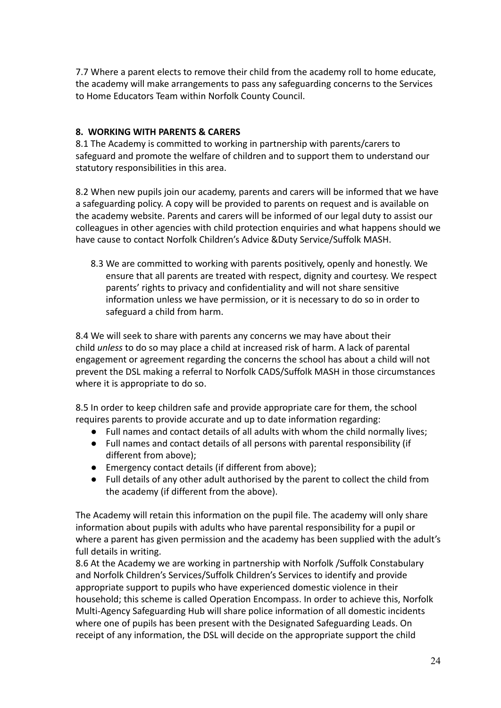7.7 Where a parent elects to remove their child from the academy roll to home educate, the academy will make arrangements to pass any safeguarding concerns to the Services to Home Educators Team within Norfolk County Council.

#### <span id="page-23-0"></span>**8. WORKING WITH PARENTS & CARERS**

8.1 The Academy is committed to working in partnership with parents/carers to safeguard and promote the welfare of children and to support them to understand our statutory responsibilities in this area.

8.2 When new pupils join our academy, parents and carers will be informed that we have a safeguarding policy. A copy will be provided to parents on request and is available on the academy website. Parents and carers will be informed of our legal duty to assist our colleagues in other agencies with child protection enquiries and what happens should we have cause to contact Norfolk Children's Advice &Duty Service/Suffolk MASH.

8.3 We are committed to working with parents positively, openly and honestly. We ensure that all parents are treated with respect, dignity and courtesy. We respect parents' rights to privacy and confidentiality and will not share sensitive information unless we have permission, or it is necessary to do so in order to safeguard a child from harm.

8.4 We will seek to share with parents any concerns we may have about their child *unless* to do so may place a child at increased risk of harm. A lack of parental engagement or agreement regarding the concerns the school has about a child will not prevent the DSL making a referral to Norfolk CADS/Suffolk MASH in those circumstances where it is appropriate to do so.

8.5 In order to keep children safe and provide appropriate care for them, the school requires parents to provide accurate and up to date information regarding:

- Full names and contact details of all adults with whom the child normally lives;
- Full names and contact details of all persons with parental responsibility (if different from above);
- Emergency contact details (if different from above);
- Full details of any other adult authorised by the parent to collect the child from the academy (if different from the above).

The Academy will retain this information on the pupil file. The academy will only share information about pupils with adults who have parental responsibility for a pupil or where a parent has given permission and the academy has been supplied with the adult's full details in writing.

8.6 At the Academy we are working in partnership with Norfolk /Suffolk Constabulary and Norfolk Children's Services/Suffolk Children's Services to identify and provide appropriate support to pupils who have experienced domestic violence in their household; this scheme is called Operation Encompass. In order to achieve this, Norfolk Multi-Agency Safeguarding Hub will share police information of all domestic incidents where one of pupils has been present with the Designated Safeguarding Leads. On receipt of any information, the DSL will decide on the appropriate support the child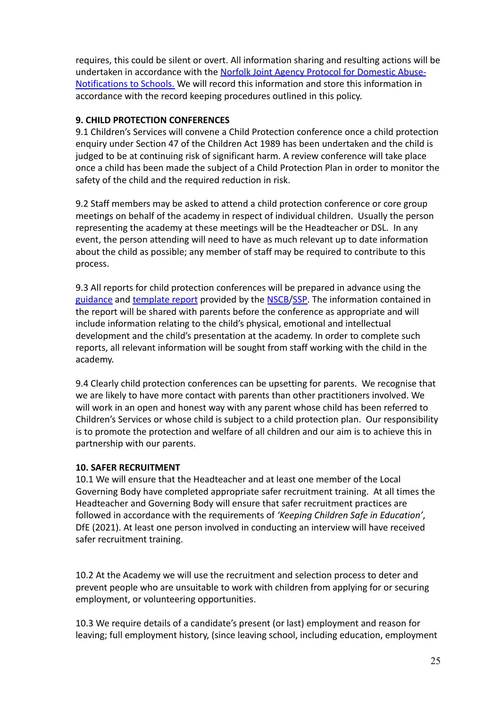requires, this could be silent or overt. All information sharing and resulting actions will be undertaken in accordance with the Norfolk Joint Agency [Protocol for Domestic Abuse-](https://www.schools.norfolk.gov.uk/pupil-safety-and-behaviour/safeguarding/operation-encompass)[Notifications to Schools.](https://www.schools.norfolk.gov.uk/pupil-safety-and-behaviour/safeguarding/operation-encompass) We will record this information and store this information in accordance with the record keeping procedures outlined in this policy.

#### <span id="page-24-0"></span>**9. CHILD PROTECTION CONFERENCES**

9.1 Children's Services will convene a Child Protection conference once a child protection enquiry under Section 47 of the Children Act 1989 has been undertaken and the child is judged to be at continuing risk of significant harm. A review conference will take place once a child has been made the subject of a Child Protection Plan in order to monitor the safety of the child and the required reduction in risk.

9.2 Staff members may be asked to attend a child protection conference or core group meetings on behalf of the academy in respect of individual children. Usually the person representing the academy at these meetings will be the Headteacher or DSL. In any event, the person attending will need to have as much relevant up to date information about the child as possible; any member of staff may be required to contribute to this process.

9.3 All reports for child protection conferences will be prepared in advance using the [guidance](https://www.norfolklscb.org/about/policies-procedures/policies-and-procedures/) and [template report](https://www.norfolklscb.org/wp-content/uploads/2019/05/Multi-Agency-Report-to-CPC-V10-220519.docx) provided by the [NSCB](https://www.norfolklscb.org/about/policies-procedures/3-6-initial-child-protection-conferences/)[/SSP.](https://suffolksp.org.uk/) The information contained in the report will be shared with parents before the conference as appropriate and will include information relating to the child's physical, emotional and intellectual development and the child's presentation at the academy. In order to complete such reports, all relevant information will be sought from staff working with the child in the academy.

9.4 Clearly child protection conferences can be upsetting for parents. We recognise that we are likely to have more contact with parents than other practitioners involved. We will work in an open and honest way with any parent whose child has been referred to Children's Services or whose child is subject to a child protection plan. Our responsibility is to promote the protection and welfare of all children and our aim is to achieve this in partnership with our parents.

#### <span id="page-24-1"></span>**10. SAFER RECRUITMENT**

10.1 We will ensure that the Headteacher and at least one member of the Local Governing Body have completed appropriate safer recruitment training. At all times the Headteacher and Governing Body will ensure that safer recruitment practices are followed in accordance with the requirements of *'Keeping Children Safe in Education'*, DfE (2021). At least one person involved in conducting an interview will have received safer recruitment training.

10.2 At the Academy we will use the recruitment and selection process to deter and prevent people who are unsuitable to work with children from applying for or securing employment, or volunteering opportunities.

10.3 We require details of a candidate's present (or last) employment and reason for leaving; full employment history, (since leaving school, including education, employment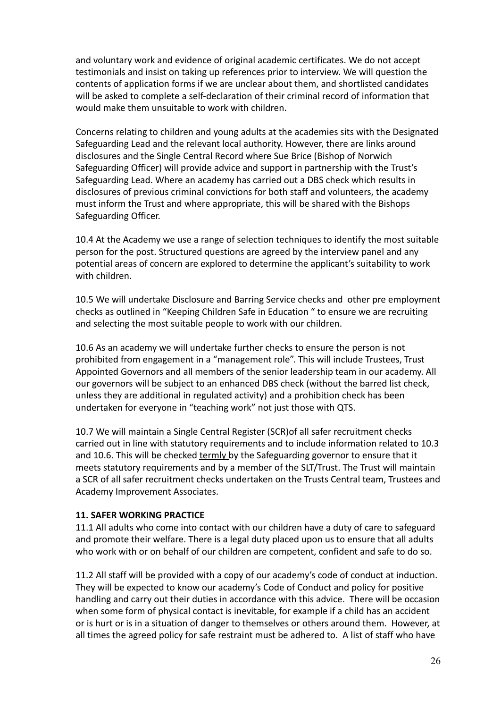and voluntary work and evidence of original academic certificates. We do not accept testimonials and insist on taking up references prior to interview. We will question the contents of application forms if we are unclear about them, and shortlisted candidates will be asked to complete a self-declaration of their criminal record of information that would make them unsuitable to work with children.

Concerns relating to children and young adults at the academies sits with the Designated Safeguarding Lead and the relevant local authority. However, there are links around disclosures and the Single Central Record where Sue Brice (Bishop of Norwich Safeguarding Officer) will provide advice and support in partnership with the Trust's Safeguarding Lead. Where an academy has carried out a DBS check which results in disclosures of previous criminal convictions for both staff and volunteers, the academy must inform the Trust and where appropriate, this will be shared with the Bishops Safeguarding Officer.

10.4 At the Academy we use a range of selection techniques to identify the most suitable person for the post. Structured questions are agreed by the interview panel and any potential areas of concern are explored to determine the applicant's suitability to work with children.

10.5 We will undertake Disclosure and Barring Service checks and other pre employment checks as outlined in "Keeping Children Safe in Education " to ensure we are recruiting and selecting the most suitable people to work with our children.

10.6 As an academy we will undertake further checks to ensure the person is not prohibited from engagement in a "management role". This will include Trustees, Trust Appointed Governors and all members of the senior leadership team in our academy. All our governors will be subject to an enhanced DBS check (without the barred list check, unless they are additional in regulated activity) and a prohibition check has been undertaken for everyone in "teaching work" not just those with QTS.

10.7 We will maintain a Single Central Register (SCR)of all safer recruitment checks carried out in line with statutory requirements and to include information related to 10.3 and 10.6. This will be checked termly by the Safeguarding governor to ensure that it meets statutory requirements and by a member of the SLT/Trust. The Trust will maintain a SCR of all safer recruitment checks undertaken on the Trusts Central team, Trustees and Academy Improvement Associates.

#### <span id="page-25-0"></span>**11. SAFER WORKING PRACTICE**

11.1 All adults who come into contact with our children have a duty of care to safeguard and promote their welfare. There is a legal duty placed upon us to ensure that all adults who work with or on behalf of our children are competent, confident and safe to do so.

11.2 All staff will be provided with a copy of our academy's code of conduct at induction. They will be expected to know our academy's Code of Conduct and policy for positive handling and carry out their duties in accordance with this advice. There will be occasion when some form of physical contact is inevitable, for example if a child has an accident or is hurt or is in a situation of danger to themselves or others around them. However, at all times the agreed policy for safe restraint must be adhered to. A list of staff who have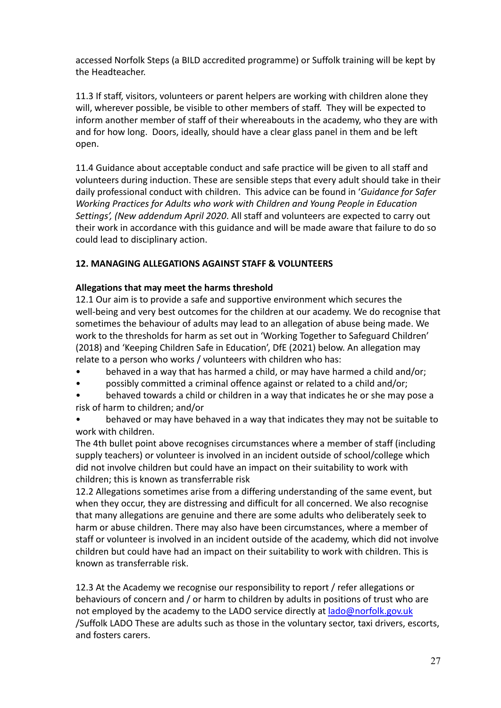accessed Norfolk Steps (a BILD accredited programme) or Suffolk training will be kept by the Headteacher.

11.3 If staff, visitors, volunteers or parent helpers are working with children alone they will, wherever possible, be visible to other members of staff. They will be expected to inform another member of staff of their whereabouts in the academy, who they are with and for how long. Doors, ideally, should have a clear glass panel in them and be left open.

11.4 Guidance about acceptable conduct and safe practice will be given to all staff and volunteers during induction. These are sensible steps that every adult should take in their daily professional conduct with children. This advice can be found in '*Guidance for Safer Working Practices for Adults who work with Children and Young People in Education Settings', (New addendum April 2020*. All staff and volunteers are expected to carry out their work in accordance with this guidance and will be made aware that failure to do so could lead to disciplinary action.

#### <span id="page-26-0"></span>**12. MANAGING ALLEGATIONS AGAINST STAFF & VOLUNTEERS**

#### **Allegations that may meet the harms threshold**

12.1 Our aim is to provide a safe and supportive environment which secures the well-being and very best outcomes for the children at our academy. We do recognise that sometimes the behaviour of adults may lead to an allegation of abuse being made. We work to the thresholds for harm as set out in 'Working Together to Safeguard Children' (2018) and 'Keeping Children Safe in Education', DfE (2021) below. An allegation may relate to a person who works / volunteers with children who has:

- behaved in a way that has harmed a child, or may have harmed a child and/or;
- possibly committed a criminal offence against or related to a child and/or;
- behaved towards a child or children in a way that indicates he or she may pose a risk of harm to children; and/or
- behaved or may have behaved in a way that indicates they may not be suitable to work with children.

The 4th bullet point above recognises circumstances where a member of staff (including supply teachers) or volunteer is involved in an incident outside of school/college which did not involve children but could have an impact on their suitability to work with children; this is known as transferrable risk

12.2 Allegations sometimes arise from a differing understanding of the same event, but when they occur, they are distressing and difficult for all concerned. We also recognise that many allegations are genuine and there are some adults who deliberately seek to harm or abuse children. There may also have been circumstances, where a member of staff or volunteer is involved in an incident outside of the academy, which did not involve children but could have had an impact on their suitability to work with children. This is known as transferrable risk.

12.3 At the Academy we recognise our responsibility to report / refer allegations or behaviours of concern and / or harm to children by adults in positions of trust who are not employed by the academy to the LADO service directly at [lado@norfolk.gov.uk](mailto:lado@norfolk.gov.uk) /Suffolk LADO These are adults such as those in the voluntary sector, taxi drivers, escorts, and fosters carers.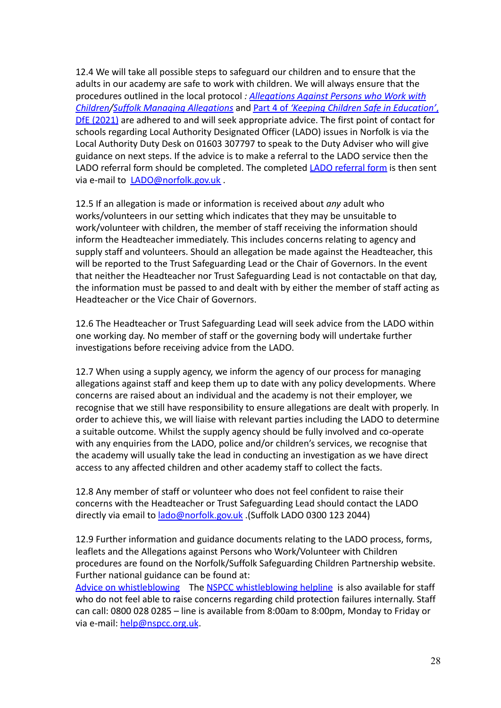12.4 We will take all possible steps to safeguard our children and to ensure that the adults in our academy are safe to work with children. We will always ensure that the procedures outlined in the local protocol *: Allegations [Against Persons who Work with](https://www.norfolklscb.org/about/policies-procedures/8-3-allegations-against-persons-who-work-with-children/) [Children](https://www.norfolklscb.org/about/policies-procedures/8-3-allegations-against-persons-who-work-with-children/)/[Suffolk Managing Allegations](https://suffolksp.org.uk/assets/Working-with-Children-Adults/LADO/2019-12-10-Arrangements-for-Managing-Allegations-of-Abuse-v9.pdf)* and Part 4 of *['Keeping Children Safe in Education'](https://www.gov.uk/government/publications/keeping-children-safe-in-education--2)*, [DfE \(2021\)](https://www.gov.uk/government/publications/keeping-children-safe-in-education--2) are adhered to and will seek appropriate advice. The first point of contact for schools regarding Local Authority Designated Officer (LADO) issues in Norfolk is via the Local Authority Duty Desk on 01603 307797 to speak to the Duty Adviser who will give guidance on next steps. If the advice is to make a referral to the LADO service then the [LADO referral form](https://www.norfolklscb.org/people-working-with-children/how-to-raise-a-concern/local-authority-designated-officer-lado/) should be completed. The completed LADO referral form is then sent via e-mail to [LADO@norfolk.gov.uk](mailto:LADO@norfolk.gov.uk) .

12.5 If an allegation is made or information is received about *any* adult who works/volunteers in our setting which indicates that they may be unsuitable to work/volunteer with children, the member of staff receiving the information should inform the Headteacher immediately. This includes concerns relating to agency and supply staff and volunteers. Should an allegation be made against the Headteacher, this will be reported to the Trust Safeguarding Lead or the Chair of Governors. In the event that neither the Headteacher nor Trust Safeguarding Lead is not contactable on that day, the information must be passed to and dealt with by either the member of staff acting as Headteacher or the Vice Chair of Governors.

12.6 The Headteacher or Trust Safeguarding Lead will seek advice from the LADO within one working day. No member of staff or the governing body will undertake further investigations before receiving advice from the LADO.

12.7 When using a supply agency, we inform the agency of our process for managing allegations against staff and keep them up to date with any policy developments. Where concerns are raised about an individual and the academy is not their employer, we recognise that we still have responsibility to ensure allegations are dealt with properly. In order to achieve this, we will liaise with relevant parties including the LADO to determine a suitable outcome. Whilst the supply agency should be fully involved and co-operate with any enquiries from the LADO, police and/or children's services, we recognise that the academy will usually take the lead in conducting an investigation as we have direct access to any affected children and other academy staff to collect the facts.

12.8 Any member of staff or volunteer who does not feel confident to raise their concerns with the Headteacher or Trust Safeguarding Lead should contact the LADO directly via email to [lado@norfolk.gov.uk](mailto:lado@norfolk.gov.uk) .(Suffolk LADO 0300 123 2044)

12.9 Further information and guidance documents relating to the LADO process, forms, leaflets and the Allegations against Persons who Work/Volunteer with Children procedures are found on the Norfolk/Suffolk Safeguarding Children Partnership website. Further national guidance can be found at:

[Advice on whistleblowing](https://www.gov.uk/whistleblowing) The [NSPCC whistleblowing](https://www.gov.uk/government/news/home-office-launches-child-abuse-whistleblowing-helpline) helpline is also available for staff who do not feel able to raise concerns regarding child protection failures internally. Staff can call: 0800 028 0285 – line is available from 8:00am to 8:00pm, Monday to Friday or via e-mail: [help@nspcc.org.uk](mailto:help@nspcc.org.uk).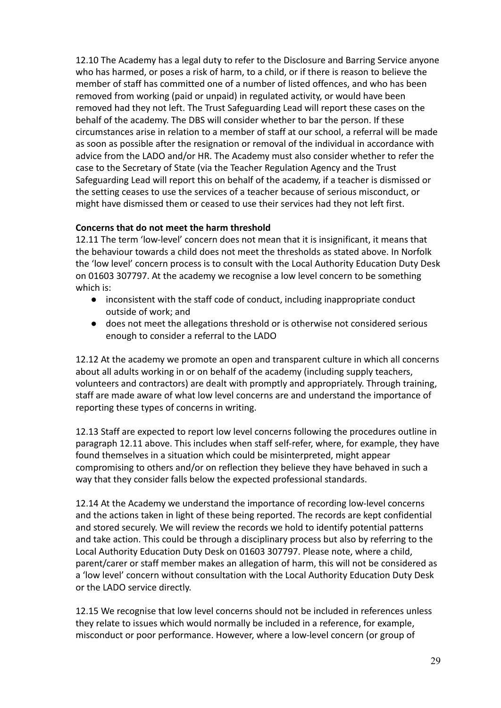12.10 The Academy has a legal duty to refer to the Disclosure and Barring Service anyone who has harmed, or poses a risk of harm, to a child, or if there is reason to believe the member of staff has committed one of a number of listed offences, and who has been removed from working (paid or unpaid) in regulated activity, or would have been removed had they not left. The Trust Safeguarding Lead will report these cases on the behalf of the academy. The DBS will consider whether to bar the person. If these circumstances arise in relation to a member of staff at our school, a referral will be made as soon as possible after the resignation or removal of the individual in accordance with advice from the LADO and/or HR. The Academy must also consider whether to refer the case to the Secretary of State (via the Teacher Regulation Agency and the Trust Safeguarding Lead will report this on behalf of the academy, if a teacher is dismissed or the setting ceases to use the services of a teacher because of serious misconduct, or might have dismissed them or ceased to use their services had they not left first.

#### **Concerns that do not meet the harm threshold**

12.11 The term 'low-level' concern does not mean that it is insignificant, it means that the behaviour towards a child does not meet the thresholds as stated above. In Norfolk the 'low level' concern process is to consult with the Local Authority Education Duty Desk on 01603 307797. At the academy we recognise a low level concern to be something which is:

- inconsistent with the staff code of conduct, including inappropriate conduct outside of work; and
- does not meet the allegations threshold or is otherwise not considered serious enough to consider a referral to the LADO

12.12 At the academy we promote an open and transparent culture in which all concerns about all adults working in or on behalf of the academy (including supply teachers, volunteers and contractors) are dealt with promptly and appropriately. Through training, staff are made aware of what low level concerns are and understand the importance of reporting these types of concerns in writing.

12.13 Staff are expected to report low level concerns following the procedures outline in paragraph 12.11 above. This includes when staff self-refer, where, for example, they have found themselves in a situation which could be misinterpreted, might appear compromising to others and/or on reflection they believe they have behaved in such a way that they consider falls below the expected professional standards.

12.14 At the Academy we understand the importance of recording low-level concerns and the actions taken in light of these being reported. The records are kept confidential and stored securely. We will review the records we hold to identify potential patterns and take action. This could be through a disciplinary process but also by referring to the Local Authority Education Duty Desk on 01603 307797. Please note, where a child, parent/carer or staff member makes an allegation of harm, this will not be considered as a 'low level' concern without consultation with the Local Authority Education Duty Desk or the LADO service directly.

12.15 We recognise that low level concerns should not be included in references unless they relate to issues which would normally be included in a reference, for example, misconduct or poor performance. However, where a low-level concern (or group of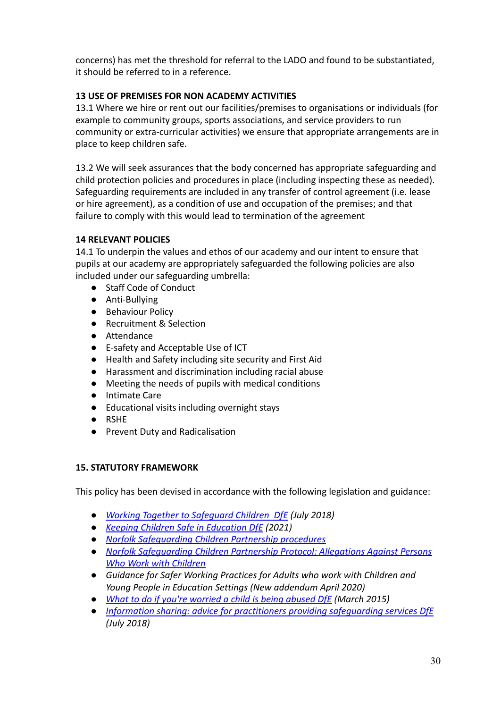concerns) has met the threshold for referral to the LADO and found to be substantiated, it should be referred to in a reference.

#### **13 USE OF PREMISES FOR NON ACADEMY ACTIVITIES**

13.1 Where we hire or rent out our facilities/premises to organisations or individuals (for example to community groups, sports associations, and service providers to run community or extra-curricular activities) we ensure that appropriate arrangements are in place to keep children safe.

13.2 We will seek assurances that the body concerned has appropriate safeguarding and child protection policies and procedures in place (including inspecting these as needed). Safeguarding requirements are included in any transfer of control agreement (i.e. lease or hire agreement), as a condition of use and occupation of the premises; and that failure to comply with this would lead to termination of the agreement

#### <span id="page-29-0"></span>**14 RELEVANT POLICIES**

14.1 To underpin the values and ethos of our academy and our intent to ensure that pupils at our academy are appropriately safeguarded the following policies are also included under our safeguarding umbrella:

- Staff Code of Conduct
- Anti-Bullying
- Behaviour Policy
- Recruitment & Selection
- Attendance
- E-safety and Acceptable Use of ICT
- Health and Safety including site security and First Aid
- Harassment and discrimination including racial abuse
- Meeting the needs of pupils with medical conditions
- Intimate Care
- Educational visits including overnight stays
- RSHE
- Prevent Duty and Radicalisation

#### <span id="page-29-1"></span>**15. STATUTORY FRAMEWORK**

This policy has been devised in accordance with the following legislation and guidance:

- *● [Working Together to Safeguard Children DfE](https://www.gov.uk/government/publications/working-together-to-safeguard-children--2) (July 2018)*
- *● [Keeping Children Safe in Education DfE](https://www.gov.uk/government/publications/keeping-children-safe-in-education--2) (2021)*
- *● [Norfolk Safeguarding Children Partnership procedures](https://www.norfolklscb.org/about/policies-procedures/policies-and-procedures/)*
- *● [Norfolk Safeguarding Children Partnership Protocol: Allegations Against Persons](https://www.norfolklscb.org/about/policies-procedures/8-3-allegations-against-persons-who-work-with-children/) [Who Work with Children](https://www.norfolklscb.org/about/policies-procedures/8-3-allegations-against-persons-who-work-with-children/)*
- *● Guidance for Safer Working Practices for Adults who work with Children and Young People in Education Settings (New addendum April 2020)*
- *● [What to do if you're worried a child is being abused DfE](https://assets.publishing.service.gov.uk/government/uploads/system/uploads/attachment_data/file/419604/What_to_do_if_you_re_worried_a_child_is_being_abused.pdf) (March 2015)*
- *● [Information sharing: advice for practitioners providing safeguarding services DfE](https://assets.publishing.service.gov.uk/government/uploads/system/uploads/attachment_data/file/721581/Information_sharing_advice_practitioners_safeguarding_services.pdf) (July 2018)*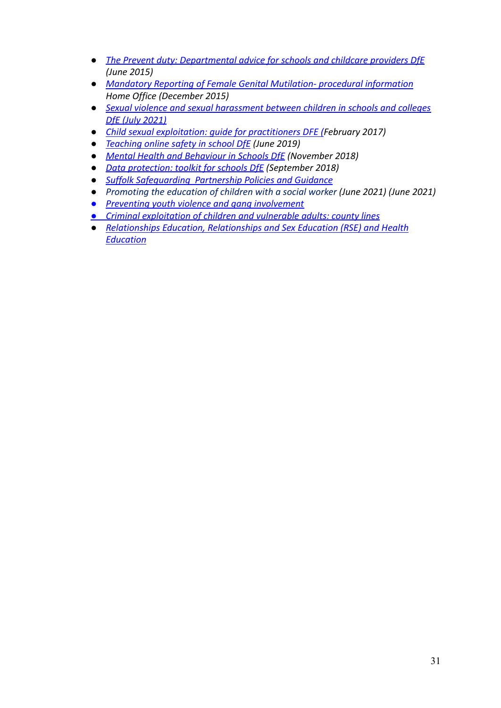- *● [The Prevent duty: Departmental advice for schools and childcare providers DfE](https://assets.publishing.service.gov.uk/government/uploads/system/uploads/attachment_data/file/439598/prevent-duty-departmental-advice-v6.pdf) (June 2015)*
- *● [Mandatory Reporting of Female Genital Mutilation- procedural information](https://www.gov.uk/government/publications/mandatory-reporting-of-female-genital-mutilation-procedural-information) Home Office (December 2015)*
- *● [Sexual violence and sexual harassment between children in schools and colleges](https://assets.publishing.service.gov.uk/government/uploads/system/uploads/attachment_data/file/719902/Sexual_violence_and_sexual_harassment_between_children_in_schools_and_colleges.pdf) [DfE \(July 2021\)](https://assets.publishing.service.gov.uk/government/uploads/system/uploads/attachment_data/file/719902/Sexual_violence_and_sexual_harassment_between_children_in_schools_and_colleges.pdf)*
- *● [Child sexual exploitation: guide for practitioners DFE \(](https://www.gov.uk/government/publications/child-sexual-exploitation-definition-and-guide-for-practitioners)February 2017)*
- *● [Teaching online safety in school DfE](https://www.gov.uk/government/publications/teaching-online-safety-in-schools) (June 2019)*
- *● [Mental Health and Behaviour in Schools DfE](https://www.gov.uk/government/publications/mental-health-and-behaviour-in-schools--2) (November 2018)*
- *● [Data protection: toolkit for schools DfE](https://www.gov.uk/government/publications/data-protection-toolkit-for-schools) (September 2018)*
- *● [Suffolk Safeguarding Partnership Policies and Guidance](https://suffolksp.org.uk/)*
- *● [Promoting the education of children with a social worker](https://www.gov.uk/government/publications/virtual-school-head-role-extension-to-children-with-a-social-worker) (June 2021) (June 2021)*
- *● [Preventing youth violence and gang involvement](https://www.gov.uk/government/publications/advice-to-schools-and-colleges-on-gangs-and-youth-violence)*
- *● [Criminal exploitation of children and vulnerable adults:](https://www.gov.uk/government/publications/criminal-exploitation-of-children-and-vulnerable-adults-county-lines) county lines*
- *● [Relationships Education, Relationships and Sex Education \(RSE\) and Health](https://assets.publishing.service.gov.uk/government/uploads/system/uploads/attachment_data/file/908013/Relationships_Education__Relationships_and_Sex_Education__RSE__and_Health_Education.pdf) [Education](https://assets.publishing.service.gov.uk/government/uploads/system/uploads/attachment_data/file/908013/Relationships_Education__Relationships_and_Sex_Education__RSE__and_Health_Education.pdf)*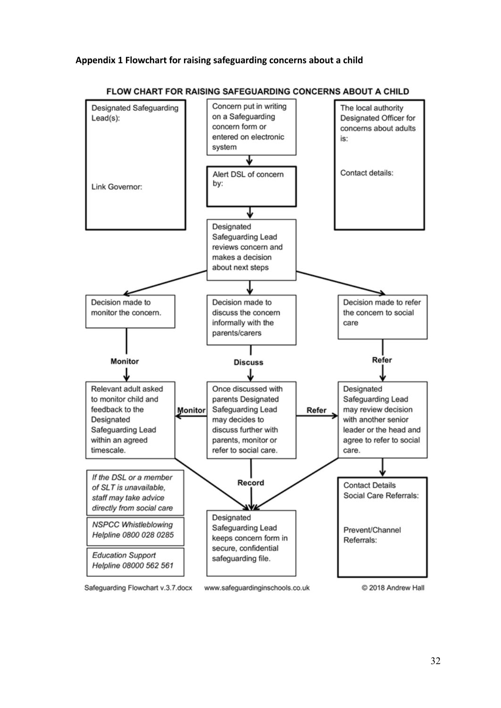<span id="page-31-0"></span>

FLOW CHART FOR RAISING SAFEGUARDING CONCERNS ABOUT A CHILD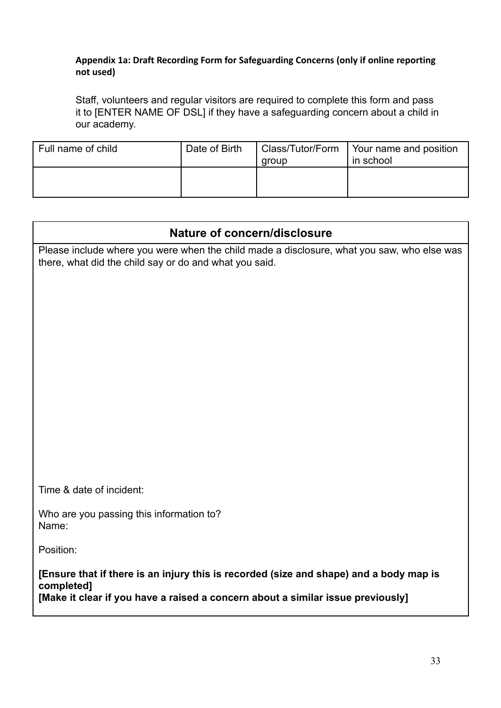#### **Appendix 1a: Draft Recording Form for Safeguarding Concerns (only if online reporting not used)**

Staff, volunteers and regular visitors are required to complete this form and pass it to [ENTER NAME OF DSL] if they have a safeguarding concern about a child in our academy.

| Full name of child | Date of Birth | Class/Tutor/Form<br>group | Your name and position<br>in school |
|--------------------|---------------|---------------------------|-------------------------------------|
|                    |               |                           |                                     |

| <b>Nature of concern/disclosure</b>                                                                                                                                                     |
|-----------------------------------------------------------------------------------------------------------------------------------------------------------------------------------------|
| Please include where you were when the child made a disclosure, what you saw, who else was<br>there, what did the child say or do and what you said.                                    |
|                                                                                                                                                                                         |
|                                                                                                                                                                                         |
|                                                                                                                                                                                         |
|                                                                                                                                                                                         |
|                                                                                                                                                                                         |
|                                                                                                                                                                                         |
|                                                                                                                                                                                         |
|                                                                                                                                                                                         |
|                                                                                                                                                                                         |
| Time & date of incident:                                                                                                                                                                |
| Who are you passing this information to?<br>Name:                                                                                                                                       |
| Position:                                                                                                                                                                               |
| [Ensure that if there is an injury this is recorded (size and shape) and a body map is<br>completed]<br>[Make it clear if you have a raised a concern about a similar issue previously] |
|                                                                                                                                                                                         |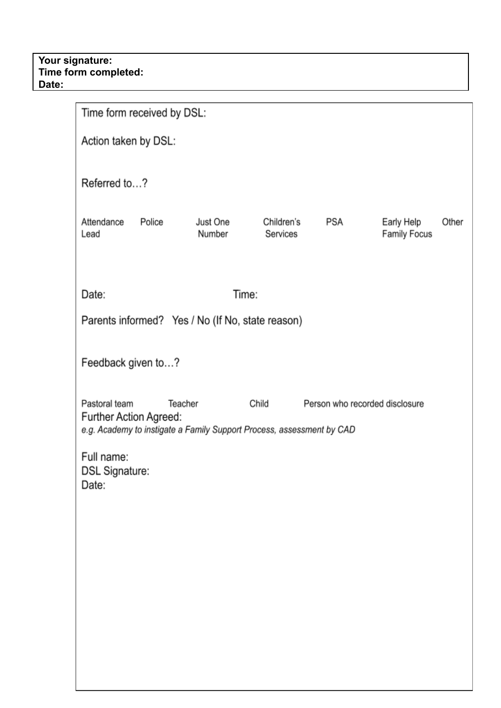| Time form received by DSL:                   |        |                                                                                  |                        |                                |                            |       |
|----------------------------------------------|--------|----------------------------------------------------------------------------------|------------------------|--------------------------------|----------------------------|-------|
| Action taken by DSL:                         |        |                                                                                  |                        |                                |                            |       |
| Referred to?                                 |        |                                                                                  |                        |                                |                            |       |
| Attendance<br>Lead                           | Police | Just One<br>Number                                                               | Children's<br>Services | PSA                            | Early Help<br>Family Focus | Other |
| Date:                                        |        |                                                                                  | Time:                  |                                |                            |       |
|                                              |        | Parents informed? Yes / No (If No, state reason)                                 |                        |                                |                            |       |
| Feedback given to?                           |        |                                                                                  |                        |                                |                            |       |
| Pastoral team<br>Further Action Agreed:      |        | Teacher<br>e.g. Academy to instigate a Family Support Process, assessment by CAD | Child                  | Person who recorded disclosure |                            |       |
| Full name:<br><b>DSL Signature:</b><br>Date: |        |                                                                                  |                        |                                |                            |       |
|                                              |        |                                                                                  |                        |                                |                            |       |
|                                              |        |                                                                                  |                        |                                |                            |       |
|                                              |        |                                                                                  |                        |                                |                            |       |
|                                              |        |                                                                                  |                        |                                |                            |       |
|                                              |        |                                                                                  |                        |                                |                            |       |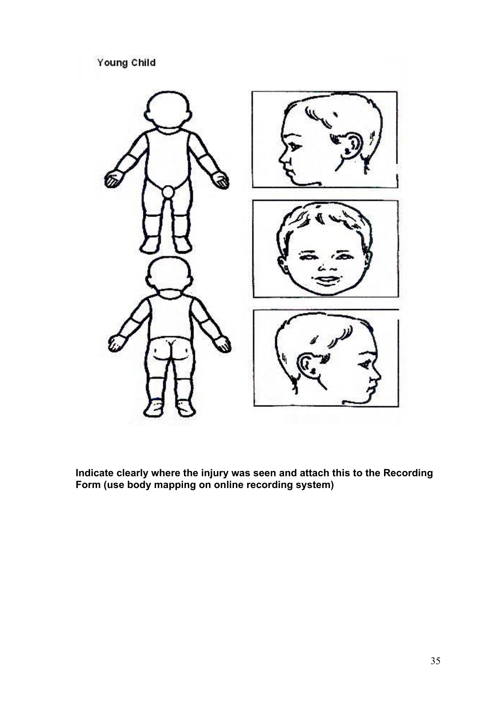Young Child



**Indicate clearly where the injury was seen and attach this to the Recording Form (use body mapping on online recording system)**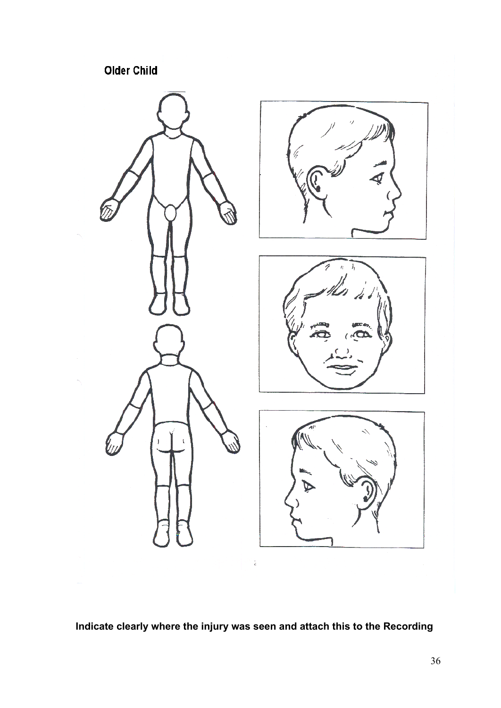

**Indicate clearly where the injury was seen and attach this to the Recording**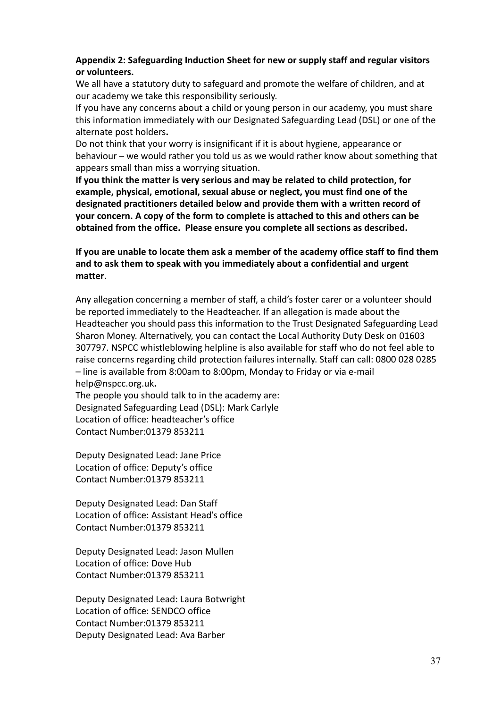#### <span id="page-36-0"></span>**Appendix 2: Safeguarding Induction Sheet for new or supply staff and regular visitors or volunteers.**

We all have a statutory duty to safeguard and promote the welfare of children, and at our academy we take this responsibility seriously.

If you have any concerns about a child or young person in our academy, you must share this information immediately with our Designated Safeguarding Lead (DSL) or one of the alternate post holders**.**

Do not think that your worry is insignificant if it is about hygiene, appearance or behaviour – we would rather you told us as we would rather know about something that appears small than miss a worrying situation.

**If you think the matter is very serious and may be related to child protection, for example, physical, emotional, sexual abuse or neglect, you must find one of the designated practitioners detailed below and provide them with a written record of your concern. A copy of the form to complete is attached to this and others can be obtained from the office. Please ensure you complete all sections as described.**

**If you are unable to locate them ask a member of the academy office staff to find them and to ask them to speak with you immediately about a confidential and urgent matter**.

Any allegation concerning a member of staff, a child's foster carer or a volunteer should be reported immediately to the Headteacher. If an allegation is made about the Headteacher you should pass this information to the Trust Designated Safeguarding Lead Sharon Money. Alternatively, you can contact the Local Authority Duty Desk on 01603 307797. NSPCC whistleblowing helpline is also available for staff who do not feel able to raise concerns regarding child protection failures internally. Staff can call: 0800 028 0285 – line is available from 8:00am to 8:00pm, Monday to Friday or via e-mail help@nspcc.org.uk**.**

The people you should talk to in the academy are: Designated Safeguarding Lead (DSL): Mark Carlyle Location of office: headteacher's office Contact Number:01379 853211

Deputy Designated Lead: Jane Price Location of office: Deputy's office Contact Number:01379 853211

Deputy Designated Lead: Dan Staff Location of office: Assistant Head's office Contact Number:01379 853211

Deputy Designated Lead: Jason Mullen Location of office: Dove Hub Contact Number:01379 853211

Deputy Designated Lead: Laura Botwright Location of office: SENDCO office Contact Number:01379 853211 Deputy Designated Lead: Ava Barber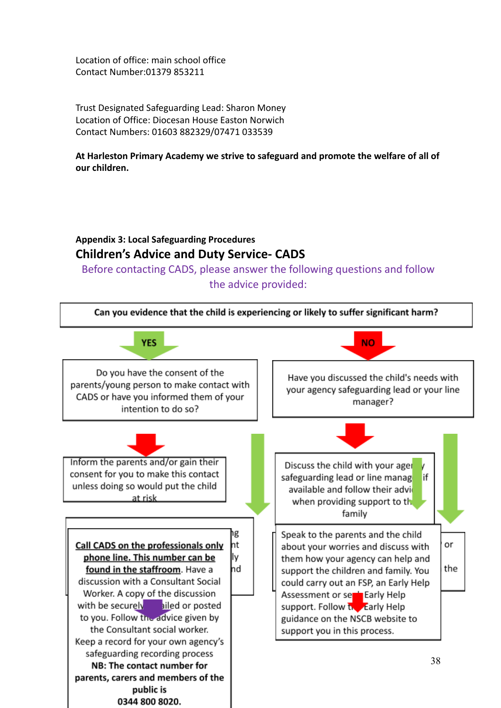Location of office: main school office Contact Number:01379 853211

Trust Designated Safeguarding Lead: Sharon Money Location of Office: Diocesan House Easton Norwich Contact Numbers: 01603 882329/07471 033539

**At Harleston Primary Academy we strive to safeguard and promote the welfare of all of our children.**

#### **Appendix 3: Local Safeguarding Procedures Children's Advice and Duty Service- CADS**

Before contacting CADS, please answer the following questions and follow the advice provided:

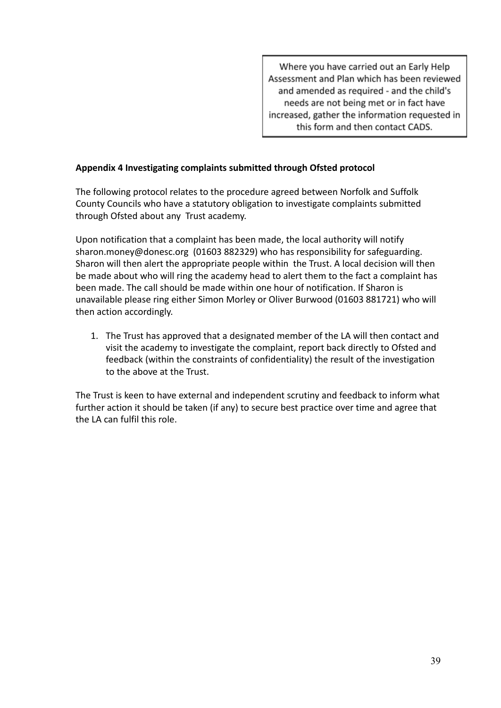Where you have carried out an Early Help Assessment and Plan which has been reviewed and amended as required - and the child's needs are not being met or in fact have increased, gather the information requested in this form and then contact CADS.

#### <span id="page-38-0"></span>**Appendix 4 Investigating complaints submitted through Ofsted protocol**

The following protocol relates to the procedure agreed between Norfolk and Suffolk County Councils who have a statutory obligation to investigate complaints submitted through Ofsted about any Trust academy.

Upon notification that a complaint has been made, the local authority will notify sharon.money@donesc.org (01603 882329) who has responsibility for safeguarding. Sharon will then alert the appropriate people within the Trust. A local decision will then be made about who will ring the academy head to alert them to the fact a complaint has been made. The call should be made within one hour of notification. If Sharon is unavailable please ring either Simon Morley or Oliver Burwood (01603 881721) who will then action accordingly.

1. The Trust has approved that a designated member of the LA will then contact and visit the academy to investigate the complaint, report back directly to Ofsted and feedback (within the constraints of confidentiality) the result of the investigation to the above at the Trust.

The Trust is keen to have external and independent scrutiny and feedback to inform what further action it should be taken (if any) to secure best practice over time and agree that the LA can fulfil this role.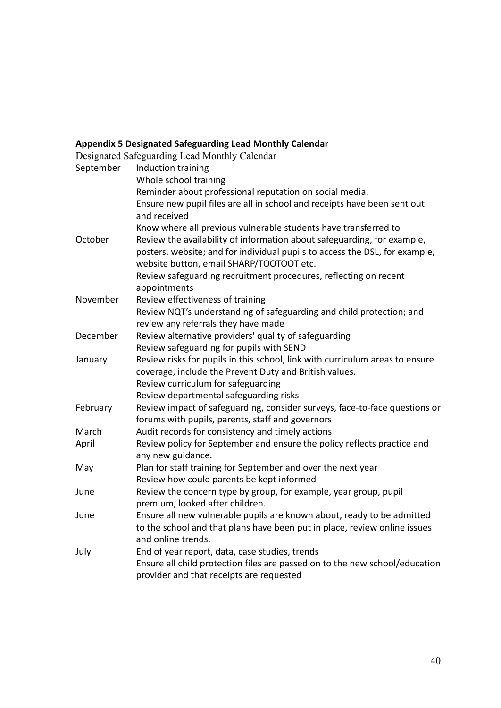#### <span id="page-39-0"></span>**Appendix 5 Designated Safeguarding Lead Monthly Calendar**

|           | Designated Safeguarding Lead Monthly Calendar                                                                                                                                                      |
|-----------|----------------------------------------------------------------------------------------------------------------------------------------------------------------------------------------------------|
| September | Induction training                                                                                                                                                                                 |
|           | Whole school training                                                                                                                                                                              |
|           | Reminder about professional reputation on social media.                                                                                                                                            |
|           | Ensure new pupil files are all in school and receipts have been sent out<br>and received                                                                                                           |
|           | Know where all previous vulnerable students have transferred to                                                                                                                                    |
| October   | Review the availability of information about safeguarding, for example,<br>posters, website; and for individual pupils to access the DSL, for example,<br>website button, email SHARP/TOOTOOT etc. |
|           | Review safeguarding recruitment procedures, reflecting on recent<br>appointments                                                                                                                   |
| November  | Review effectiveness of training                                                                                                                                                                   |
|           | Review NQT's understanding of safeguarding and child protection; and<br>review any referrals they have made                                                                                        |
| December  | Review alternative providers' quality of safeguarding                                                                                                                                              |
|           | Review safeguarding for pupils with SEND                                                                                                                                                           |
| January   | Review risks for pupils in this school, link with curriculum areas to ensure<br>coverage, include the Prevent Duty and British values.<br>Review curriculum for safeguarding                       |
|           | Review departmental safeguarding risks                                                                                                                                                             |
| February  | Review impact of safeguarding, consider surveys, face-to-face questions or<br>forums with pupils, parents, staff and governors                                                                     |
| March     | Audit records for consistency and timely actions                                                                                                                                                   |
| April     | Review policy for September and ensure the policy reflects practice and<br>any new guidance.                                                                                                       |
| May       | Plan for staff training for September and over the next year<br>Review how could parents be kept informed                                                                                          |
| June      | Review the concern type by group, for example, year group, pupil<br>premium, looked after children.                                                                                                |
| June      | Ensure all new vulnerable pupils are known about, ready to be admitted<br>to the school and that plans have been put in place, review online issues<br>and online trends.                          |
| July      | End of year report, data, case studies, trends<br>Ensure all child protection files are passed on to the new school/education<br>provider and that receipts are requested                          |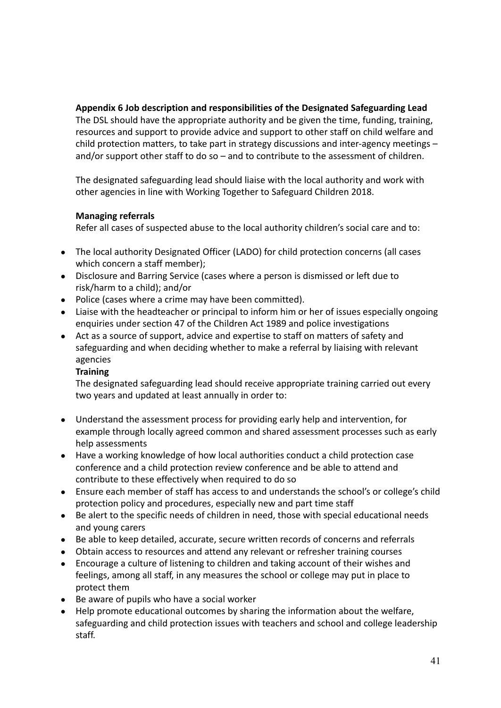<span id="page-40-0"></span>**Appendix 6 Job description and responsibilities of the Designated Safeguarding Lead** The DSL should have the appropriate authority and be given the time, funding, training, resources and support to provide advice and support to other staff on child welfare and child protection matters, to take part in strategy discussions and inter-agency meetings – and/or support other staff to do so – and to contribute to the assessment of children.

The designated safeguarding lead should liaise with the local authority and work with other agencies in line with Working Together to Safeguard Children 2018.

#### **Managing referrals**

Refer all cases of suspected abuse to the local authority children's social care and to:

- The local authority Designated Officer (LADO) for child protection concerns (all cases which concern a staff member);
- Disclosure and Barring Service (cases where a person is dismissed or left due to risk/harm to a child); and/or
- Police (cases where a crime may have been committed).
- Liaise with the headteacher or principal to inform him or her of issues especially ongoing enquiries under section 47 of the Children Act 1989 and police investigations
- Act as a source of support, advice and expertise to staff on matters of safety and safeguarding and when deciding whether to make a referral by liaising with relevant agencies

#### **Training**

The designated safeguarding lead should receive appropriate training carried out every two years and updated at least annually in order to:

- Understand the assessment process for providing early help and intervention, for example through locally agreed common and shared assessment processes such as early help assessments
- Have a working knowledge of how local authorities conduct a child protection case conference and a child protection review conference and be able to attend and contribute to these effectively when required to do so
- Ensure each member of staff has access to and understands the school's or college's child protection policy and procedures, especially new and part time staff
- Be alert to the specific needs of children in need, those with special educational needs and young carers
- Be able to keep detailed, accurate, secure written records of concerns and referrals
- Obtain access to resources and attend any relevant or refresher training courses
- Encourage a culture of listening to children and taking account of their wishes and feelings, among all staff, in any measures the school or college may put in place to protect them
- Be aware of pupils who have a social worker
- Help promote educational outcomes by sharing the information about the welfare, safeguarding and child protection issues with teachers and school and college leadership staff.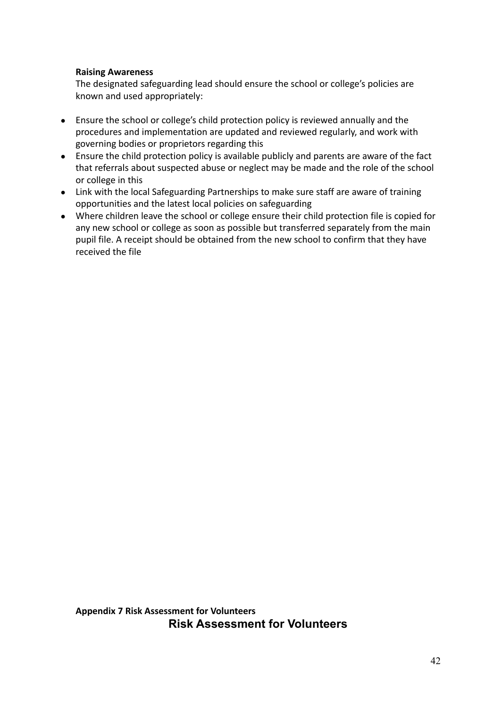#### **Raising Awareness**

The designated safeguarding lead should ensure the school or college's policies are known and used appropriately:

- Ensure the school or college's child protection policy is reviewed annually and the procedures and implementation are updated and reviewed regularly, and work with governing bodies or proprietors regarding this
- Ensure the child protection policy is available publicly and parents are aware of the fact that referrals about suspected abuse or neglect may be made and the role of the school or college in this
- Link with the local Safeguarding Partnerships to make sure staff are aware of training opportunities and the latest local policies on safeguarding
- <span id="page-41-0"></span>● Where children leave the school or college ensure their child protection file is copied for any new school or college as soon as possible but transferred separately from the main pupil file. A receipt should be obtained from the new school to confirm that they have received the file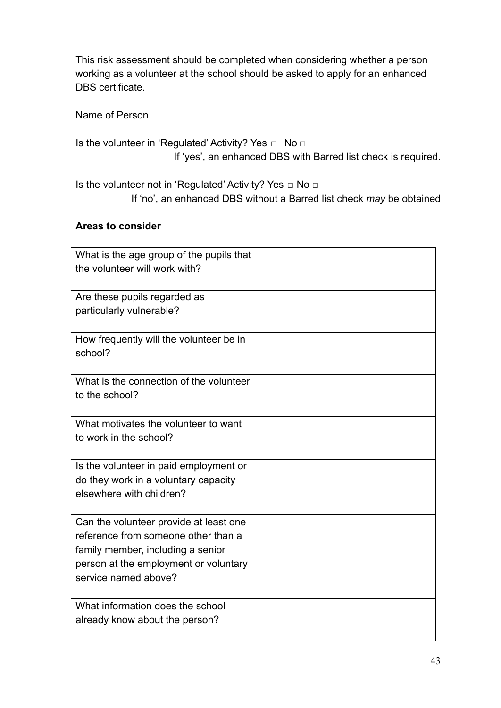This risk assessment should be completed when considering whether a person working as a volunteer at the school should be asked to apply for an enhanced DBS certificate.

Name of Person

```
Is the volunteer in 'Regulated' Activity? Yes □ No □
          If 'yes', an enhanced DBS with Barred list check is required.
```
Is the volunteer not in 'Regulated' Activity? Yes □ No □ If 'no', an enhanced DBS without a Barred list check *may* be obtained

#### **Areas to consider**

| What is the age group of the pupils that |  |
|------------------------------------------|--|
| the volunteer will work with?            |  |
|                                          |  |
| Are these pupils regarded as             |  |
|                                          |  |
| particularly vulnerable?                 |  |
|                                          |  |
| How frequently will the volunteer be in  |  |
| school?                                  |  |
|                                          |  |
| What is the connection of the volunteer  |  |
| to the school?                           |  |
|                                          |  |
|                                          |  |
| What motivates the volunteer to want     |  |
| to work in the school?                   |  |
|                                          |  |
| Is the volunteer in paid employment or   |  |
| do they work in a voluntary capacity     |  |
| elsewhere with children?                 |  |
|                                          |  |
|                                          |  |
| Can the volunteer provide at least one   |  |
| reference from someone other than a      |  |
| family member, including a senior        |  |
| person at the employment or voluntary    |  |
| service named above?                     |  |
|                                          |  |
| What information does the school         |  |
|                                          |  |
| already know about the person?           |  |
|                                          |  |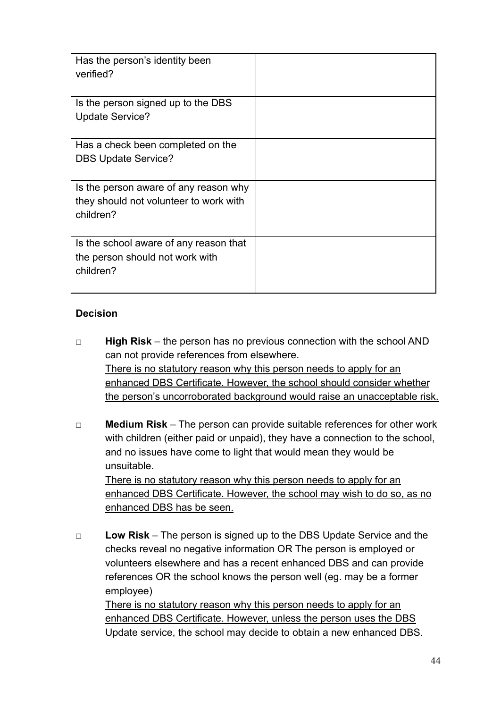| Has the person's identity been<br>verified?                                                  |  |
|----------------------------------------------------------------------------------------------|--|
| Is the person signed up to the DBS<br><b>Update Service?</b>                                 |  |
| Has a check been completed on the<br><b>DBS Update Service?</b>                              |  |
| Is the person aware of any reason why<br>they should not volunteer to work with<br>children? |  |
| Is the school aware of any reason that<br>the person should not work with<br>children?       |  |

#### **Decision**

- ◻ **High Risk** the person has no previous connection with the school AND can not provide references from elsewhere. There is no statutory reason why this person needs to apply for an enhanced DBS Certificate. However, the school should consider whether the person's uncorroborated background would raise an unacceptable risk.
- ◻ **Medium Risk** The person can provide suitable references for other work with children (either paid or unpaid), they have a connection to the school, and no issues have come to light that would mean they would be unsuitable. There is no statutory reason why this person needs to apply for an enhanced DBS Certificate. However, the school may wish to do so, as no

enhanced DBS has be seen.

◻ **Low Risk** – The person is signed up to the DBS Update Service and the checks reveal no negative information OR The person is employed or volunteers elsewhere and has a recent enhanced DBS and can provide references OR the school knows the person well (eg. may be a former employee) There is no statutory reason why this person needs to apply for an enhanced DBS Certificate. However, unless the person uses the DBS

Update service, the school may decide to obtain a new enhanced DBS.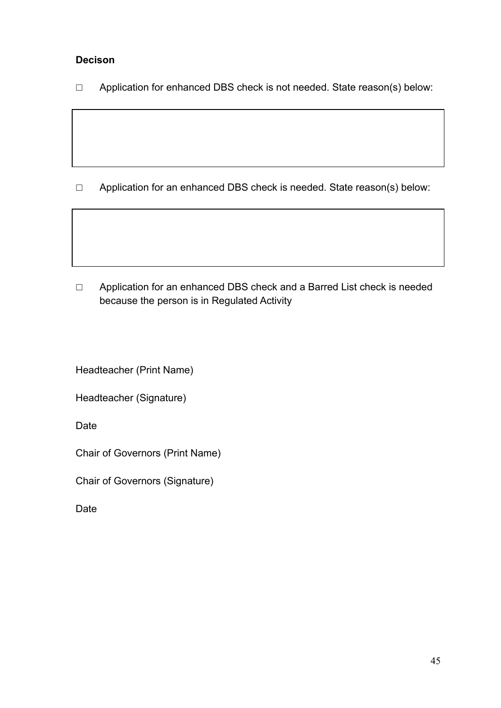#### **Decison**

□ Application for enhanced DBS check is not needed. State reason(s) below:

□ Application for an enhanced DBS check is needed. State reason(s) below:

□ Application for an enhanced DBS check and a Barred List check is needed because the person is in Regulated Activity

Headteacher (Print Name)

Headteacher (Signature)

Date

Chair of Governors (Print Name)

Chair of Governors (Signature)

Date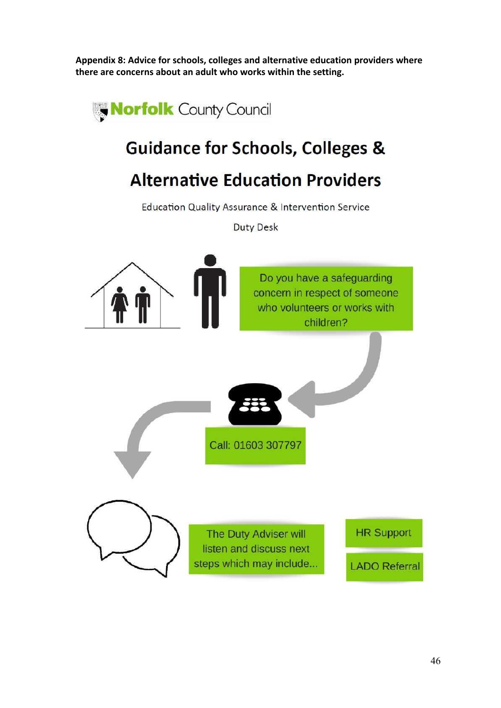<span id="page-45-0"></span>**Appendix 8: Advice for schools, colleges and alternative education providers where there are concerns about an adult who works within the setting.**



## **Guidance for Schools, Colleges &**

## **Alternative Education Providers**

Education Quality Assurance & Intervention Service

**Duty Desk** 

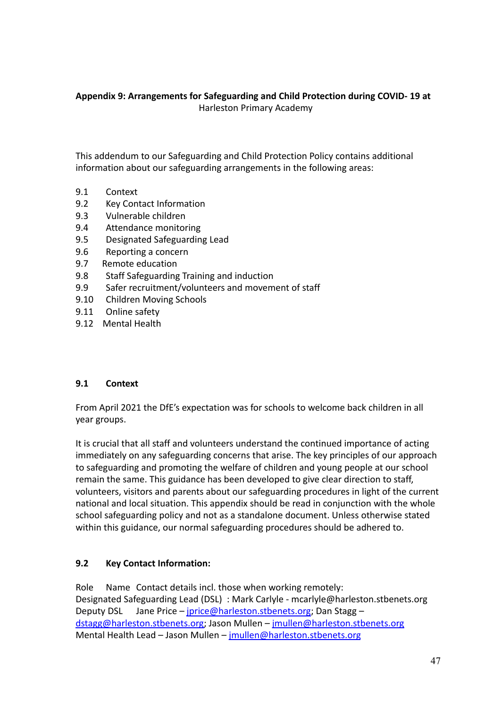#### **Appendix 9: Arrangements for Safeguarding and Child Protection during COVID- 19 at** Harleston Primary Academy

This addendum to our Safeguarding and Child Protection Policy contains additional information about our safeguarding arrangements in the following areas:

- 9.1 Context
- 9.2 Key Contact Information
- 9.3 Vulnerable children
- 9.4 Attendance monitoring
- 9.5 Designated Safeguarding Lead
- 9.6 Reporting a concern
- 9.7 Remote education
- 9.8 Staff Safeguarding Training and induction
- 9.9 Safer recruitment/volunteers and movement of staff
- 9.10 Children Moving Schools
- 9.11 Online safety
- 9.12 Mental Health

#### **9.1 Context**

From April 2021 the DfE's expectation was for schools to welcome back children in all year groups.

It is crucial that all staff and volunteers understand the continued importance of acting immediately on any safeguarding concerns that arise. The key principles of our approach to safeguarding and promoting the welfare of children and young people at our school remain the same. This guidance has been developed to give clear direction to staff, volunteers, visitors and parents about our safeguarding procedures in light of the current national and local situation. This appendix should be read in conjunction with the whole school safeguarding policy and not as a standalone document. Unless otherwise stated within this guidance, our normal safeguarding procedures should be adhered to.

#### **9.2 Key Contact Information:**

Role Name Contact details incl. those when working remotely: Designated Safeguarding Lead (DSL) : Mark Carlyle - mcarlyle@harleston.stbenets.org Deputy DSL Jane Price – [jprice@harleston.stbenets.org;](mailto:jprice@harleston.stbenets.org) Dan Stagg – [dstagg@harleston.stbenets.org;](mailto:dstagg@harleston.stbenets.org) Jason Mullen – [jmullen@harleston.stbenets.org](mailto:jmullen@harleston.stbenets.org) Mental Health Lead – Jason Mullen – [jmullen@harleston.stbenets.org](mailto:jmullen@harleston.stbenets.org)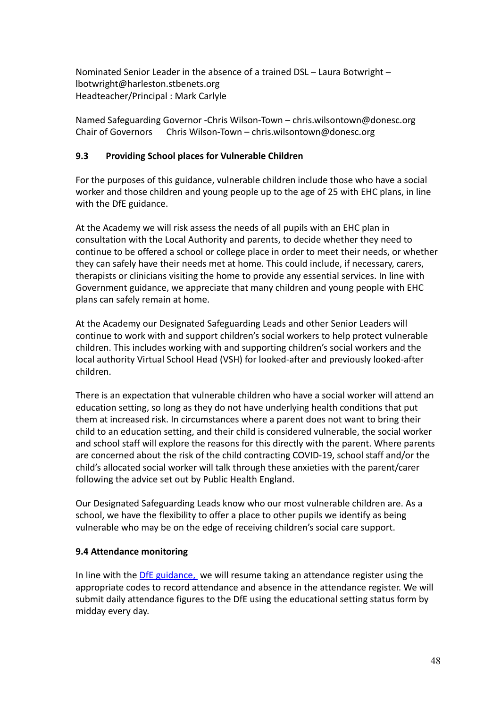Nominated Senior Leader in the absence of a trained DSL – Laura Botwright – lbotwright@harleston.stbenets.org Headteacher/Principal : Mark Carlyle

Named Safeguarding Governor -Chris Wilson-Town – chris.wilsontown@donesc.org Chair of Governors Chris Wilson-Town – chris.wilsontown@donesc.org

#### **9.3 Providing School places for Vulnerable Children**

For the purposes of this guidance, vulnerable children include those who have a social worker and those children and young people up to the age of 25 with EHC plans, in line with the DfE guidance.

At the Academy we will risk assess the needs of all pupils with an EHC plan in consultation with the Local Authority and parents, to decide whether they need to continue to be offered a school or college place in order to meet their needs, or whether they can safely have their needs met at home. This could include, if necessary, carers, therapists or clinicians visiting the home to provide any essential services. In line with Government guidance, we appreciate that many children and young people with EHC plans can safely remain at home.

At the Academy our Designated Safeguarding Leads and other Senior Leaders will continue to work with and support children's social workers to help protect vulnerable children. This includes working with and supporting children's social workers and the local authority Virtual School Head (VSH) for looked-after and previously looked-after children.

There is an expectation that vulnerable children who have a social worker will attend an education setting, so long as they do not have underlying health conditions that put them at increased risk. In circumstances where a parent does not want to bring their child to an education setting, and their child is considered vulnerable, the social worker and school staff will explore the reasons for this directly with the parent. Where parents are concerned about the risk of the child contracting COVID-19, school staff and/or the child's allocated social worker will talk through these anxieties with the parent/carer following the advice set out by Public Health England.

Our Designated Safeguarding Leads know who our most vulnerable children are. As a school, we have the flexibility to offer a place to other pupils we identify as being vulnerable who may be on the edge of receiving children's social care support.

#### **9.4 Attendance monitoring**

In line with the *DfE guidance*, we will resume taking an attendance register using the appropriate codes to record attendance and absence in the attendance register. We will submit daily attendance figures to the DfE using the educational setting status form by midday every day.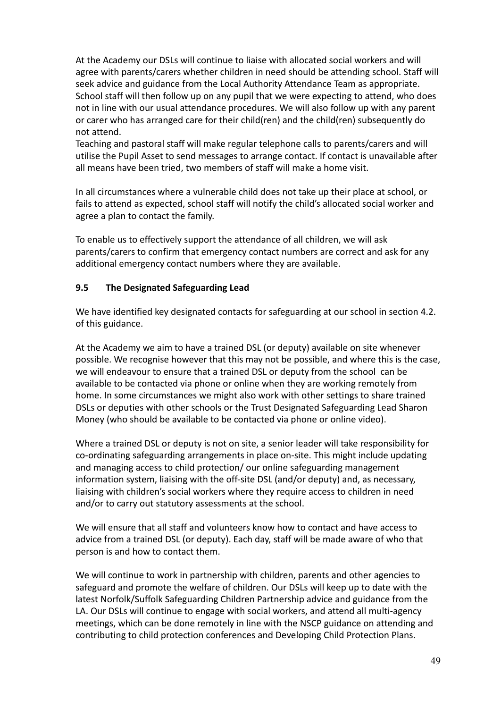At the Academy our DSLs will continue to liaise with allocated social workers and will agree with parents/carers whether children in need should be attending school. Staff will seek advice and guidance from the Local Authority Attendance Team as appropriate. School staff will then follow up on any pupil that we were expecting to attend, who does not in line with our usual attendance procedures. We will also follow up with any parent or carer who has arranged care for their child(ren) and the child(ren) subsequently do not attend.

Teaching and pastoral staff will make regular telephone calls to parents/carers and will utilise the Pupil Asset to send messages to arrange contact. If contact is unavailable after all means have been tried, two members of staff will make a home visit.

In all circumstances where a vulnerable child does not take up their place at school, or fails to attend as expected, school staff will notify the child's allocated social worker and agree a plan to contact the family.

To enable us to effectively support the attendance of all children, we will ask parents/carers to confirm that emergency contact numbers are correct and ask for any additional emergency contact numbers where they are available.

#### **9.5 The Designated Safeguarding Lead**

We have identified key designated contacts for safeguarding at our school in section 4.2. of this guidance.

At the Academy we aim to have a trained DSL (or deputy) available on site whenever possible. We recognise however that this may not be possible, and where this is the case, we will endeavour to ensure that a trained DSL or deputy from the school can be available to be contacted via phone or online when they are working remotely from home. In some circumstances we might also work with other settings to share trained DSLs or deputies with other schools or the Trust Designated Safeguarding Lead Sharon Money (who should be available to be contacted via phone or online video).

Where a trained DSL or deputy is not on site, a senior leader will take responsibility for co-ordinating safeguarding arrangements in place on-site. This might include updating and managing access to child protection/ our online safeguarding management information system, liaising with the off-site DSL (and/or deputy) and, as necessary, liaising with children's social workers where they require access to children in need and/or to carry out statutory assessments at the school.

We will ensure that all staff and volunteers know how to contact and have access to advice from a trained DSL (or deputy). Each day, staff will be made aware of who that person is and how to contact them.

We will continue to work in partnership with children, parents and other agencies to safeguard and promote the welfare of children. Our DSLs will keep up to date with the latest Norfolk/Suffolk Safeguarding Children Partnership advice and guidance from the LA. Our DSLs will continue to engage with social workers, and attend all multi-agency meetings, which can be done remotely in line with the NSCP guidance on attending and contributing to child protection conferences and Developing Child Protection Plans.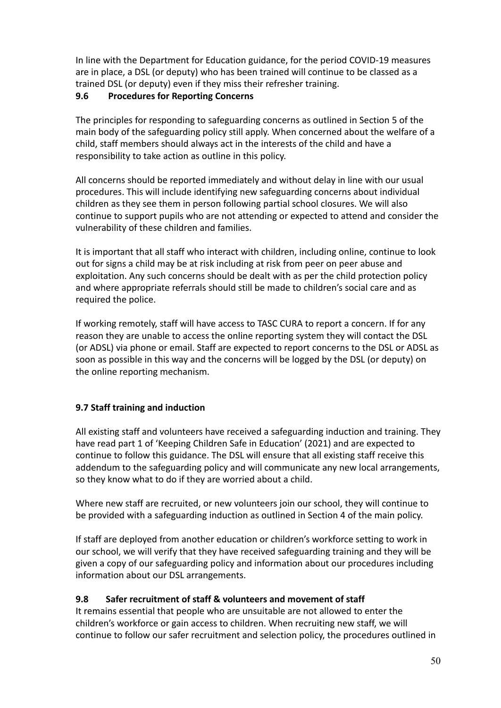In line with the Department for Education guidance, for the period COVID-19 measures are in place, a DSL (or deputy) who has been trained will continue to be classed as a trained DSL (or deputy) even if they miss their refresher training.

#### **9.6 Procedures for Reporting Concerns**

The principles for responding to safeguarding concerns as outlined in Section 5 of the main body of the safeguarding policy still apply. When concerned about the welfare of a child, staff members should always act in the interests of the child and have a responsibility to take action as outline in this policy.

All concerns should be reported immediately and without delay in line with our usual procedures. This will include identifying new safeguarding concerns about individual children as they see them in person following partial school closures. We will also continue to support pupils who are not attending or expected to attend and consider the vulnerability of these children and families.

It is important that all staff who interact with children, including online, continue to look out for signs a child may be at risk including at risk from peer on peer abuse and exploitation. Any such concerns should be dealt with as per the child protection policy and where appropriate referrals should still be made to children's social care and as required the police.

If working remotely, staff will have access to TASC CURA to report a concern. If for any reason they are unable to access the online reporting system they will contact the DSL (or ADSL) via phone or email. Staff are expected to report concerns to the DSL or ADSL as soon as possible in this way and the concerns will be logged by the DSL (or deputy) on the online reporting mechanism.

#### **9.7 Staff training and induction**

All existing staff and volunteers have received a safeguarding induction and training. They have read part 1 of 'Keeping Children Safe in Education' (2021) and are expected to continue to follow this guidance. The DSL will ensure that all existing staff receive this addendum to the safeguarding policy and will communicate any new local arrangements, so they know what to do if they are worried about a child.

Where new staff are recruited, or new volunteers join our school, they will continue to be provided with a safeguarding induction as outlined in Section 4 of the main policy.

If staff are deployed from another education or children's workforce setting to work in our school, we will verify that they have received safeguarding training and they will be given a copy of our safeguarding policy and information about our procedures including information about our DSL arrangements.

#### **9.8 Safer recruitment of staff & volunteers and movement of staff**

It remains essential that people who are unsuitable are not allowed to enter the children's workforce or gain access to children. When recruiting new staff, we will continue to follow our safer recruitment and selection policy, the procedures outlined in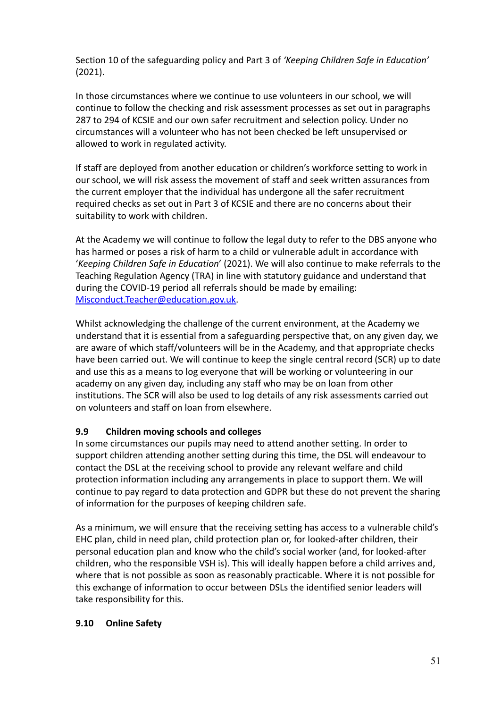Section 10 of the safeguarding policy and Part 3 of *'Keeping Children Safe in Education'* (2021).

In those circumstances where we continue to use volunteers in our school, we will continue to follow the checking and risk assessment processes as set out in paragraphs 287 to 294 of KCSIE and our own safer recruitment and selection policy. Under no circumstances will a volunteer who has not been checked be left unsupervised or allowed to work in regulated activity.

If staff are deployed from another education or children's workforce setting to work in our school, we will risk assess the movement of staff and seek written assurances from the current employer that the individual has undergone all the safer recruitment required checks as set out in Part 3 of KCSIE and there are no concerns about their suitability to work with children.

At the Academy we will continue to follow the legal duty to refer to the DBS anyone who has harmed or poses a risk of harm to a child or vulnerable adult in accordance with '*Keeping Children Safe in Education*' (2021). We will also continue to make referrals to the Teaching Regulation Agency (TRA) in line with statutory guidance and understand that during the COVID-19 period all referrals should be made by emailing: [Misconduct.Teacher@education.gov.uk.](mailto:Misconduct.Teacher@education.gov.uk)

Whilst acknowledging the challenge of the current environment, at the Academy we understand that it is essential from a safeguarding perspective that, on any given day, we are aware of which staff/volunteers will be in the Academy, and that appropriate checks have been carried out. We will continue to keep the single central record (SCR) up to date and use this as a means to log everyone that will be working or volunteering in our academy on any given day, including any staff who may be on loan from other institutions. The SCR will also be used to log details of any risk assessments carried out on volunteers and staff on loan from elsewhere.

#### **9.9 Children moving schools and colleges**

In some circumstances our pupils may need to attend another setting. In order to support children attending another setting during this time, the DSL will endeavour to contact the DSL at the receiving school to provide any relevant welfare and child protection information including any arrangements in place to support them. We will continue to pay regard to data protection and GDPR but these do not prevent the sharing of information for the purposes of keeping children safe.

As a minimum, we will ensure that the receiving setting has access to a vulnerable child's EHC plan, child in need plan, child protection plan or, for looked-after children, their personal education plan and know who the child's social worker (and, for looked-after children, who the responsible VSH is). This will ideally happen before a child arrives and, where that is not possible as soon as reasonably practicable. Where it is not possible for this exchange of information to occur between DSLs the identified senior leaders will take responsibility for this.

#### **9.10 Online Safety**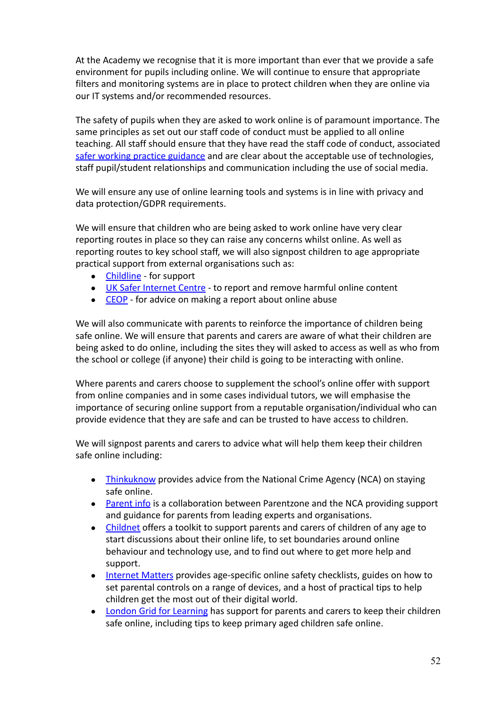At the Academy we recognise that it is more important than ever that we provide a safe environment for pupils including online. We will continue to ensure that appropriate filters and monitoring systems are in place to protect children when they are online via our IT systems and/or recommended resources.

The safety of pupils when they are asked to work online is of paramount importance. The same principles as set out our staff code of conduct must be applied to all online teaching. All staff should ensure that they have read the staff code of conduct, associated [safer working practice guidance](https://www.saferrecruitmentconsortium.org/) and are clear about the acceptable use of technologies, staff pupil/student relationships and communication including the use of social media.

We will ensure any use of online learning tools and systems is in line with privacy and data protection/GDPR requirements.

We will ensure that children who are being asked to work online have very clear reporting routes in place so they can raise any concerns whilst online. As well as reporting routes to key school staff, we will also signpost children to age appropriate practical support from external organisations such as:

- [Childline](https://www.childline.org.uk/?utm_source=google&utm_medium=cpc&utm_campaign=UK_GO_S_B_BND_Grant_Childline_Information&utm_term=role_of_childline&gclsrc=aw.ds&&gclid=EAIaIQobChMIlfLRh-ez6AIVRrDtCh1N9QR2EAAYASAAEgLc-vD_BwE&gclsrc=aw.ds) for support
- [UK Safer Internet Centre](https://reportharmfulcontent.com/) to report and remove harmful online content
- [CEOP](https://www.ceop.police.uk/safety-centre/) for advice on making a report about online abuse

We will also communicate with parents to reinforce the importance of children being safe online. We will ensure that parents and carers are aware of what their children are being asked to do online, including the sites they will asked to access as well as who from the school or college (if anyone) their child is going to be interacting with online.

Where parents and carers choose to supplement the school's online offer with support from online companies and in some cases individual tutors, we will emphasise the importance of securing online support from a reputable organisation/individual who can provide evidence that they are safe and can be trusted to have access to children.

We will signpost parents and carers to advice what will help them keep their children safe online including:

- [Thinkuknow](http://www.thinkuknow.co.uk/) provides advice from the National Crime Agency (NCA) on staying safe online.
- [Parent info](https://parentinfo.org/) is a collaboration between Parentzone and the NCA providing support and guidance for parents from leading experts and organisations.
- [Childnet](https://www.childnet.com/parents-and-carers/parent-and-carer-toolkit) offers a toolkit to support parents and carers of children of any age to start discussions about their online life, to set boundaries around online behaviour and technology use, and to find out where to get more help and support.
- [Internet Matters](https://www.internetmatters.org/?gclid=EAIaIQobChMIktuA5LWK2wIVRYXVCh2afg2aEAAYASAAEgIJ5vD_BwE) provides age-specific online safety checklists, guides on how to set parental controls on a range of devices, and a host of practical tips to help children get the most out of their digital world.
- [London Grid for Learning](http://www.lgfl.net/online-safety/) has support for parents and carers to keep their children safe online, including tips to keep primary aged children safe online.